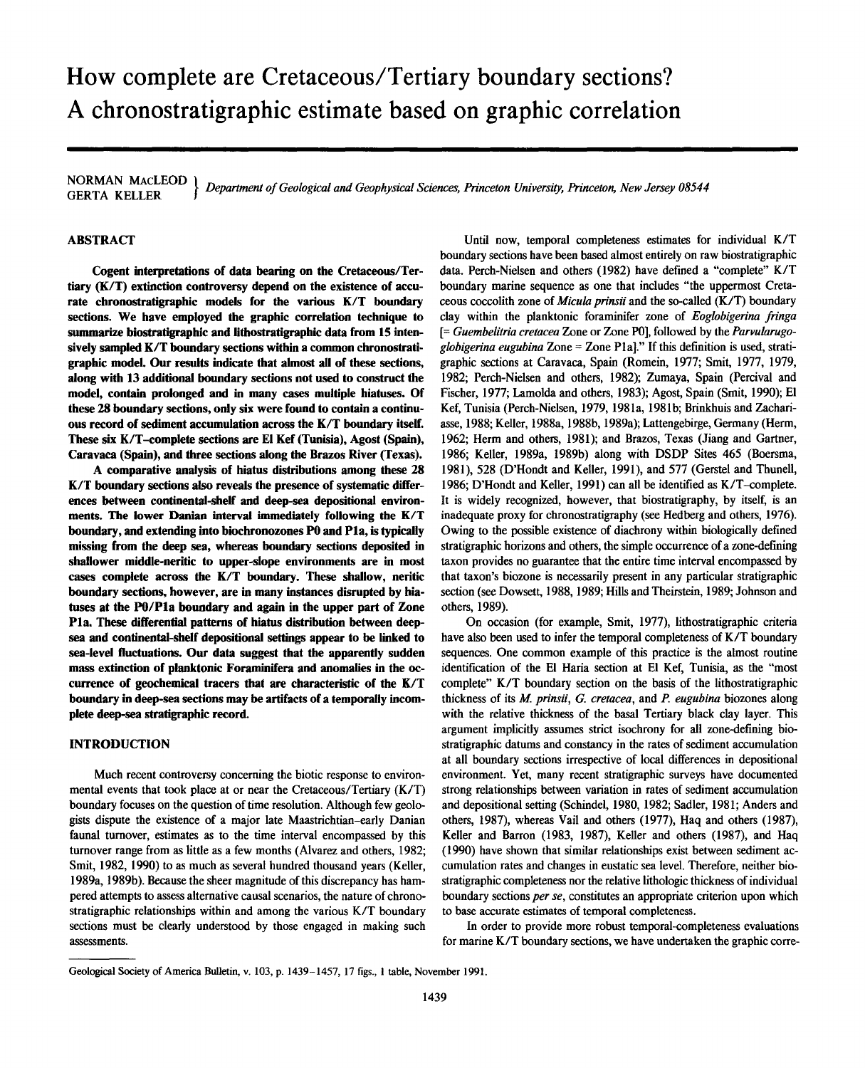# **How complete are Cretaceous/Tertiary boundary sections? A chronostratigraphic estimate based on graphic correlation**

*rcDTA^vcnrD^ \ Department of Geological and Geophysical Sciences, Princeton University, Princeton, New Jersey 08544*  **GERTA KELLER** 

# **ABSTRACT**

**Cogent interpretations of data bearing on the Cretaceous/Tertiary (K/T) extinction controversy depend on the existence of accurate chronostratigraphic models for the various K/T boundary sections. We have employed the graphic correlation technique to summarize biostratigraphic and lithostratigraphic data from IS intensively sampled K/T boundary sections within a common chronostratigraphic model. Our results indicate that almost all of these sections, along with 13 additional boundary sections not used to construct the model, contain prolonged and in many cases multiple hiatuses. Of these 28 boundary sections, only six were found to contain a continuous record of sediment accumulation across the K/T boundary itself. These six K/T-complete sections are El Kef (Tunisia), Agost (Spain), Caravaca (Spain), and three sections along the Brazos River (Texas).** 

**A comparative analysis of hiatus distributions among these 28 K/T boundary sections also reveals the presence of systematic differences between continental-shelf and deep-sea depositional environments. The lower Danian interval immediately following the K/T boundary, and extending into biochronozones PO and Pla, is typically missing from the deep sea, whereas boundary sections deposited in shallower middle-neritic to upper-slope environments are in most cases complete across the K/T boundary. These shallow, neritic boundary sections, however, are in many instances disrupted by hiatuses at the PO/Pla boundary and again in the upper part of Zone Pla. These differential patterns of hiatus distribution between deepsea and continental-shelf depositional settings appear to be linked to sea-level fluctuations. Our data suggest that the apparently sudden mass extinction of planktonic Foraminifera and anomalies in the occurrence of geochemical tracers that are characteristic of the K/T boundary in deep-sea sections may be artifacts of a temporally incomplete deep-sea stratigraphic record.** 

# **INTRODUCTION**

Much recent controversy concerning the biotic response to environmental events that took place at or near the Cretaceous/Tertiary (K/T) boundary focuses on the question of time resolution. Although few geologists dispute the existence of a major late Maastrichtian-early Danian faunal turnover, estimates as to the time interval encompassed by this turnover range from as little as a few months (Alvarez and others, 1982; Smit, 1982, 1990) to as much as several hundred thousand years (Keller, 1989a, 1989b). Because the sheer magnitude of this discrepancy has hampered attempts to assess alternative causal scenarios, the nature of chronostratigraphic relationships within and among the various K/T boundary sections must be clearly understood by those engaged in making such assessments.

Until now, temporal completeness estimates for individual K/T boundary sections have been based almost entirely on raw biostratigraphic data. Perch-Nielsen and others (1982) have defined a "complete" K/T boundary marine sequence as one that includes "the uppermost Cretaceous coccolith zone of *Micula prinsii* and the so-called (K/T) boundary clay within the planktonic foraminifer zone of *Eoglobigerina fringa [= Guembelitria cretacea* Zone or Zone PO], followed by the *Parvularugoglobigerina eugubina* Zone = Zone Pla]." If this definition is used, stratigraphic sections at Caravaca, Spain (Romein, 1977; Smit, 1977, 1979, 1982; Perch-Nielsen and others, 1982); Zumaya, Spain (Percival and Fischer, 1977; Lamolda and others, 1983); Agost, Spain (Smit, 1990); El Kef, Tunisia (Perch-Nielsen, 1979,1981a, 1981b; Brinkhuis and Zachariasse, 1988; Keller, 1988a, 1988b, 1989a); Lattengebirge, Germany (Herm, 1962; Herm and others, 1981); and Brazos, Texas (Jiang and Gartner, 1986; Keller, 1989a, 1989b) along with DSDP Sites 465 (Boersma, 1981), 528 (D'Hondt and Keller, 1991), and 577 (Gerstel and Thunell, 1986; D'Hondt and Keller, 1991) can all be identified as K/T-complete. It is widely recognized, however, that biostratigraphy, by itself, is an inadequate proxy for chronostratigraphy (see Hedberg and others, 1976). Owing to the possible existence of diachrony within biologically defined stratigraphic horizons and others, the simple occurrence of a zone-defining taxon provides no guarantee that the entire time interval encompassed by that taxon's biozone is necessarily present in any particular stratigraphic section (see Dowsett, 1988, 1989; Hills and Theirstein, 1989; Johnson and others, 1989).

On occasion (for example, Smit, 1977), lithostratigraphic criteria have also been used to infer the temporal completeness of K/T boundary sequences. One common example of this practice is the almost routine identification of the El Haria section at El Kef, Tunisia, as the "most complete" K/T boundary section on the basis of the lithostratigraphic thickness of its *M. prinsii, G. cretacea,* and *P. eugubina* biozones along with the relative thickness of the basal Tertiary black clay layer. This argument implicitly assumes strict isochrony for all zone-defining biostratigraphic datums and constancy in the rates of sediment accumulation at all boundary sections irrespective of local differences in depositional environment. Yet, many recent stratigraphic surveys have documented strong relationships between variation in rates of sediment accumulation and depositional setting (Schindel, 1980, 1982; Sadler, 1981; Anders and others, 1987), whereas Vail and others (1977), Haq and others (1987), Keller and Barron (1983, 1987), Keller and others (1987), and Haq (1990) have shown that similar relationships exist between sediment accumulation rates and changes in eustatic sea level. Therefore, neither biostratigraphic completeness nor the relative lithologic thickness of individual boundary sections *per se,* constitutes an appropriate criterion upon which to base accurate estimates of temporal completeness.

In order to provide more robust temporal-completeness evaluations for marine K/T boundary sections, we have undertaken the graphic corre-

Geological Society of America Bulletin, v. 103, p. 1439-1457, 17 figs., 1 table, November 1991.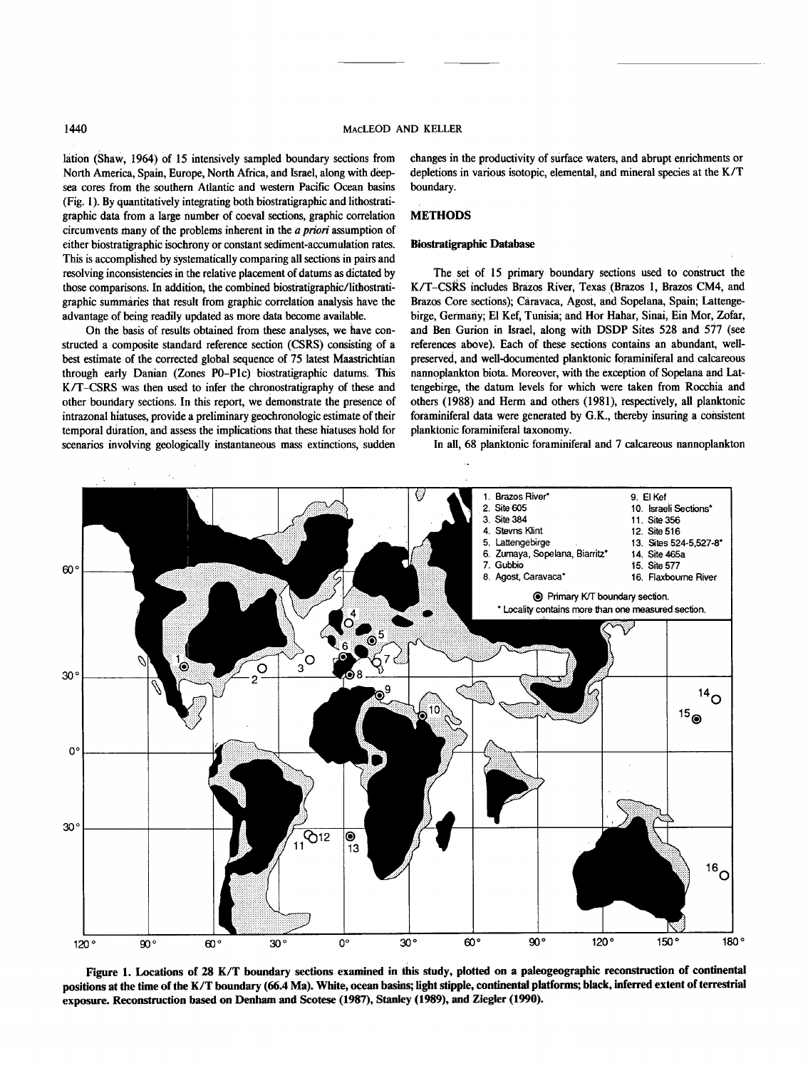# 1440 M**AC**LEOD AND KELLER

lation (Shaw, 1964) of 15 intensively sampled boundary sections from North America, Spain, Europe, North Africa, and Israel, along with deepsea cores from the southern Atlantic and western Pacific Ocean basins (Fig. 1). By quantitatively integrating both biostratigraphic and lithostratigraphic data from a large number of coeval sections, graphic correlation circumvents many of the problems inherent in the *a priori* assumption of either biostratigraphic isochrony or constant sediment-accumulation rates. This is accomplished by systematically comparing all sections in pairs and resolving inconsistencies in the relative placement of datums as dictated by those comparisons. In addition, the combined biostratigraphic/lithostratigraphic summaries that result from graphic correlation analysis have the advantage of being readily updated as more data become available.

On the basis of results obtained from these analyses, we have constructed a composite standard reference section (CSRS) consisting of a best estimate of the corrected global sequence of 75 latest Maastrichtian through early Danian (Zones PO-Plc) biostratigraphic datums. This K/T-CSRS was then used to infer the chronostratigraphy of these and other boundary sections. In this report, we demonstrate the presence of intrazonal hiatuses, provide a preliminary geochronologic estimate of their temporal duration, and assess the implications that these hiatuses hold for scenarios involving geologically instantaneous mass extinctions, sudden changes in the productivity of surface waters, and abrupt enrichments or depletions in various isotopic, elemental, and mineral species at the K/T boundary.

# **METHODS**

# **Biostratigraphic Database**

The set of 15 primary boundary sections used to construct the K/T-CSRS includes Brazos River, Texas (Brazos 1, Brazos CM4, and Brazos Core sections); Cäravaca, Agost, and Sopelana, Spain; Lattengebirge, Germany; El Kef, Tunisia; and Hor Hahar, Sinai, Ein Mor, Zofar, and Ben Gurion in Israel, along with DSDP Sites 528 and 577 (see references above). Each of these sections contains an abundant, wellpreserved, and well-documented planktonic foraminiferal and calcareous nannoplankton biota. Moreover, with the exception of Sopelana and Lattengebirge, the datum levels for which were taken from Rocchia and others (1988) and Herm and others (1981), respectively, all planktonic foraminiferal data were generated by G.K., thereby insuring a consistent planktonic foraminiferal taxonomy.

In all, 68 planktonic foraminiferal and 7 calcareous nannoplankton



**Figure 1. Locations of 28 K/T boundary sections examined in this study, plotted on a paleogeographic reconstruction of continental positions at the time of the K/T boundary (66.4 Ma). White, ocean basins; light stipple, continental platforms; black, inferred extent of terrestrial exposure. Reconstruction based on Denham and Scotese (1987), Stanley (1989), and Ziegler (1990).**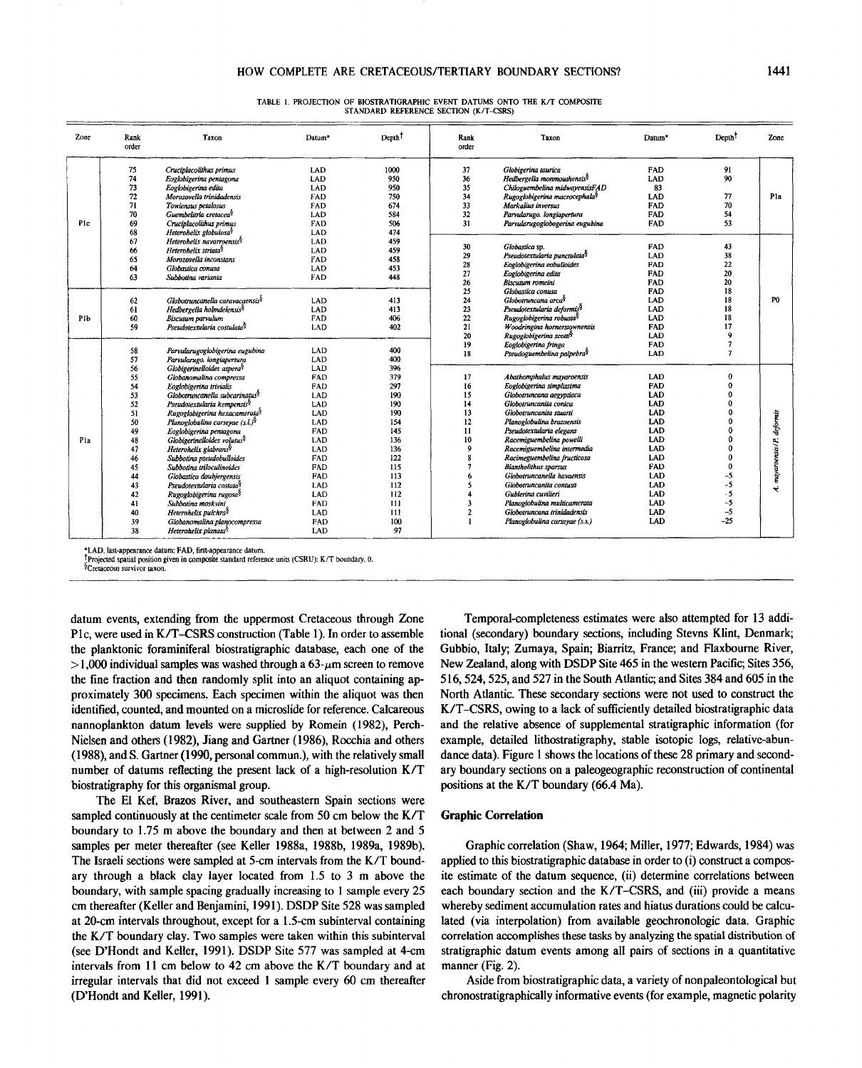## HOW COMPLETE ARE CRETACEOUS/TERTIARY BOUNDARY SECTIONS? 1441

TABLE 1. PROJECTION OF BIOSTRATIGRAPHIC EVENT DATUMS ONTO THE K/T COMPOSITE STANDARD REFERENCE SECTION (K/T-CSRS)

| Zone            | Rank<br>order  | Taxon                                                                     | Datum*                   | Depth <sup>1</sup> | Rank<br>order  | Taxon                                                                                           | Datum*           | $Depth^{\dagger}$        | Zone           |
|-----------------|----------------|---------------------------------------------------------------------------|--------------------------|--------------------|----------------|-------------------------------------------------------------------------------------------------|------------------|--------------------------|----------------|
|                 | 75<br>74<br>73 | Cruciplacolithus primus<br>Eoglobigerina pentagona<br>Eoglobigerina edita | LAD<br><b>LAD</b><br>LAD | 1000<br>950<br>950 | 37<br>36<br>35 | Globigerina taurica<br>Hedbergella monmouthensis <sup>§</sup><br>Chiloguembelina midwayensisFAD | FAD<br>LAD<br>83 | 91<br>90                 |                |
|                 | 72             | Morozovella trinidadensis                                                 | FAD                      | 750                | 34             | Rugoglobigerina macrocephala <sup>§</sup>                                                       | LAD              | 77                       | Pla            |
|                 | 71             | Towiensus petalosus                                                       | FAD                      | 674                | 33             | Markalius inversus                                                                              | FAD              | 70                       |                |
|                 | 70             | Guembelitria cretacea <sup>§</sup>                                        | LAD                      | 584                | 32             | Parvularugo. longiapertura                                                                      | FAD              | 54                       |                |
| P <sub>1c</sub> | 69             | Cruciplacolithus primus                                                   | FAD                      | 506                | 31             | Parvularugoglobogerina eugubina                                                                 | FAD              | 53                       |                |
|                 | 68             | Heterohelix globulosa <sup>§</sup>                                        | LAD                      | 474                |                |                                                                                                 |                  |                          |                |
|                 | 67             | Heterohelix navarroensis <sup>§</sup>                                     | LAD                      | 459                |                |                                                                                                 |                  |                          |                |
|                 | 66             | Heterohelix striata <sup>§</sup>                                          | LAD                      | 459                | 30             | Globastica sp.                                                                                  | <b>FAD</b>       | 43                       |                |
|                 | 65             | Morozovella inconstans                                                    | FAD                      | 458                | 29             | Pseudotextularia punctulata <sup>§</sup>                                                        | LAD              | 38                       |                |
|                 | 64             | Globastica conusa                                                         | LAD                      | 453                | 28             | Eoglobigerina eobulloides                                                                       | FAD              | 22                       |                |
|                 | 63             | Subbotina varianta                                                        | FAD                      | 448                | 27             | Eoglobigerina edita                                                                             | FAD              | 20                       |                |
|                 |                |                                                                           |                          |                    | 26             | <b>Biscutum</b> romeini                                                                         | FAD              | 20                       |                |
|                 |                |                                                                           |                          |                    | 25             | Globastica conusa                                                                               | <b>FAD</b>       | 18                       |                |
|                 | 62             | Globotruncanella caravacaensis <sup>§</sup>                               | LAD                      | 413                | 24             | Globotruncana arca <sup>§</sup>                                                                 | LAD              | 18                       | P <sub>0</sub> |
| Pib             | 61             | Hedbergella holmdelensis <sup>§</sup>                                     | LAD                      | 413                | 23             | Pseudotextularia deformis <sup>9</sup>                                                          | LAD              | 18                       |                |
|                 | 60             | Biscutum parvulum                                                         | FAD                      | 406                | 22             | Rugoglobigerina robusta <sup>§</sup>                                                            | LAD              | 18                       |                |
|                 | 59             | Pseudotextularia costulata <sup>§</sup>                                   | LAD                      | 402                | 21             | Woodringina hornerstownensis                                                                    | FAD              | 17                       |                |
|                 |                |                                                                           |                          |                    | 20             | Rugoglobigerina scotti <sup>§</sup>                                                             | LAD              | 9                        |                |
|                 | 58             | Parvularugoglobigerina eugubina                                           | LAD                      | 400                | 19             | Eoglobigerina fringa                                                                            | <b>FAD</b>       | $\overline{\phantom{a}}$ |                |
|                 | 57             | Parvularugo. longiapertura                                                | LAD                      | 400                | 18             | Pseudoguembelina palpebra <sup>§</sup>                                                          | LAD              | 7                        |                |
|                 | 56             | Globigerinelloides aspera <sup>§</sup>                                    | LAD                      | 396                |                |                                                                                                 |                  |                          |                |
|                 | 55             | Globanomalina compressa                                                   | FAD                      | 379                | 17             | Abathomphalus mayaroensis                                                                       | LAD              | 0                        |                |
|                 | 54             | Eoglobigerina trivialis                                                   | FAD                      | 297                | 16             | Eoglobigerina simplissima                                                                       | FAD              | 0                        |                |
|                 | 53             | Globotruncanella subcarinatus <sup>§</sup>                                | LAD                      | 190                | 15             | Globotruncana aegyptiaca                                                                        | LAD              | U                        |                |
|                 | 52             | Pseudotextularia kempensis <sup>§</sup>                                   | <b>LAD</b>               | 190                | 14             | Globotruncanita conica                                                                          | LAD              | Û                        |                |
|                 | 51             | Rugoglobigerina hexacamerata <sup>§</sup>                                 | LAD                      | 190                | 13             | Globotruncanita stuarti                                                                         | LAD              |                          |                |
|                 | 50             | Planoglobulina carseyae $(s.l)^8$                                         | LAD                      | 154                | 12             | Planoglobulina brazoensis                                                                       | LAD              | $\Omega$                 |                |
|                 | 49             | Eoglobigerina pentagona                                                   | FAD                      | 145                | 11             | Pseudotextularia elegans                                                                        | LAD              |                          | deformis       |
| Pla             | 48             | Globigerinelloides volutus <sup>§</sup>                                   | LAD                      | 136                | 10             | Racemiguembelina powelli                                                                        | LAD              | Ω                        |                |
|                 | 47             | Heterohelix glabrans <sup>§</sup>                                         | <b>LAD</b>               | 136                | 9              | Racemiguembelina intermedia                                                                     | <b>LAD</b>       |                          | mayaroensis/P. |
|                 | 46             | Subbotina pseudobulloides                                                 | FAD                      | 122                | 8              | Racimeguembelina fructicosa                                                                     | LAD              |                          |                |
|                 | 45             | Subbotina triloculinoides                                                 | FAD                      | 115                | 7              | <b>Biantholithus sparsus</b>                                                                    | FAD              | n                        |                |
|                 | 44             | Globastica daubiergensis                                                  | FAD                      | 113                | 6              | Globotruncanella havaensis                                                                      | LAD              | -5                       |                |
|                 | 43             | Pseudotextularia costata <sup>§</sup>                                     | LAD                      | 112                | 5              | Globotruncanita contusa                                                                         | LAD              | -5                       |                |
|                 | 42             | Rugoglobigerina rugosa <sup>§</sup>                                       | LAD                      | 112                |                | Gubierina cuvilieri                                                                             | LAD              | $-5$                     |                |
|                 | 41             | Subbotina moskvini                                                        | FAD                      | 111                | 3              | Planoglobulina multicamerata                                                                    | LAD              | -5                       |                |
|                 | 40             | Heterohelix pulchra <sup>§</sup>                                          | LAD                      | 111                | $\overline{2}$ | Globotruncana trinidadensis                                                                     | LAD              | $-5$                     |                |
|                 | 39             | Globanomalina planocompressa                                              | FAD                      | 100                |                | Planoglobulina carseyae (s.s.)                                                                  | LAD              | $-25$                    |                |
|                 | 38             | Heterohelix planata <sup>§</sup>                                          | LAD                      | 97                 |                |                                                                                                 |                  |                          |                |

\*LAD, last-appearance datum; FAD, first-appearance datum.

^Projected spatial position given in composite standard reference units (CSRU); K/T boundary, 0.

^Cretaceous survivor taxon.

datum events, extending from the uppermost Cretaceous through Zone Pic, were used in K/T-CSRS construction (Table 1). In order to assemble the planktonic foraminiferal biostratigraphic database, each one of the  $> 1,000$  individual samples was washed through a 63- $\mu$ m screen to remove the fine fraction and then randomly split into an aliquot containing approximately 300 specimens. Each specimen within the aliquot was then identified, counted, and mounted on a microslide for reference. Calcareous nannoplankton datum levels were supplied by Romein (1982), Perch-Nielsen and others (1982), Jiang and Gartner (1986), Rocchia and others (1988), and S. Gartner (1990, personal commun.), with the relatively small number of datums reflecting the present lack of a high-resolution K/T biostratigraphy for this organismal group.

The El Kef, Brazos River, and southeastern Spain sections were sampled continuously at the centimeter scale from 50 cm below the K/T boundary to 1.75 m above the boundary and then at between 2 and 5 samples per meter thereafter (see Keller 1988a, 1988b, 1989a, 1989b). The Israeli sections were sampled at 5-cm intervals from the K/T boundary through a black clay layer located from 1.5 to 3 m above the boundary, with sample spacing gradually increasing to 1 sample every 25 cm thereafter (Keller and Benjamini, 1991). DSDP Site 528 was sampled at 20-cm intervals throughout, except for a 1.5-cm subinterval containing the K/T boundary clay. Two samples were taken within this subinterval (see D'Hondt and Keller, 1991). DSDP Site 577 was sampled at 4-cm intervals from 11 cm below to 42 cm above the K/T boundary and at irregular intervals that did not exceed 1 sample every 60 cm thereafter (D'Hondt and Keller, 1991).

Temporal-completeness estimates were also attempted for 13 additional (secondary) boundary sections, including Stevns Klint, Denmark; Gubbio, Italy; Zumaya, Spain; Biarritz, France; and Flaxbourne River, New Zealand, along with DSDP Site 465 in the western Pacific; Sites 356, 516,524,525, and 527 in the South Atlantic; and Sites 384 and 605 in the North Atlantic. These secondary sections were not used to construct the K/T-CSRS, owing to a lack of sufficiently detailed biostratigraphic data and the relative absence of supplemental stratigraphic information (for example, detailed lithostratigraphy, stable isotopic logs, relative-abundance data). Figure 1 shows the locations of these 28 primary and secondary boundary sections on a paleogeographic reconstruction of continental positions at the K/T boundary (66.4 Ma).

## **Graphic Correlation**

Graphic correlation (Shaw, 1964; Miller, 1977; Edwards, 1984) was applied to this biostratigraphic database in order to (i) construct a composite estimate of the datum sequence, (ii) determine correlations between each boundary section and the K/T-CSRS, and (iii) provide a means whereby sediment accumulation rates and hiatus durations could be calculated (via interpolation) from available geochronologic data. Graphic correlation accomplishes these tasks by analyzing the spatial distribution of stratigraphic datum events among all pairs of sections in a quantitative manner (Fig. 2).

Aside from biostratigraphic data, a variety of nonpaleontological but chronostratigraphically informative events (for example, magnetic polarity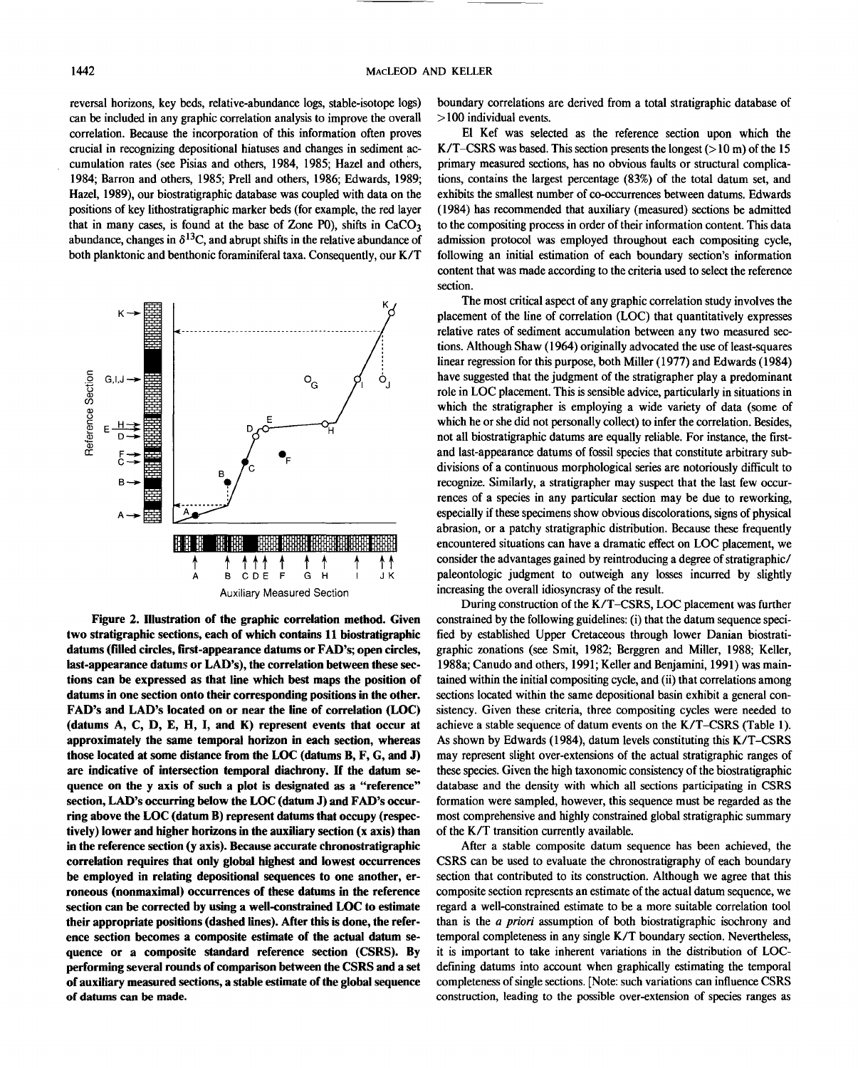reversal horizons, key beds, relative-abundance logs, stable-isotope logs) can be included in any graphic correlation analysis to improve the overall correlation. Because the incorporation of this information often proves crucial in recognizing depositional hiatuses and changes in sediment accumulation rates (see Pisias and others, 1984, 1985; Hazel and others, 1984; Barron and others, 1985; Prell and others, 1986; Edwards, 1989; Hazel, 1989), our biostratigraphic database was coupled with data on the positions of key lithostratigraphic marker beds (for example, the red layer that in many cases, is found at the base of Zone P0), shifts in  $CaCO<sub>3</sub>$ abundance, changes in  $\delta^{13}$ C, and abrupt shifts in the relative abundance of both planktonic and benthonic foraminiferal taxa. Consequently, our K/T



**Figure 2. Illustration of the graphic correlation method. Given two stratigraphic sections, each of which contains 11 biostratigraphic datums (filled circles, first-appearance datums or FAD's; open circles, last-appearance datums or LAO's), the correlation between these sections can be expressed as that line which best maps the position of datums in one section onto their corresponding positions in the other. FAD's and LAD's located on or near the line of correlation (LOC) (datums A, C, D, E, H, I, and K) represent events that occur at approximately the same temporal horizon in each section, whereas those located at some distance from the LOC (datums B, F, G, and J) are indicative of intersection temporal diachrony. If the datum sequence on the y axis of such a plot is designated as a "reference" section, LAD's occurring below the LOC (datum J) and FAD's occurring above the LOC (datum B) represent datums that occupy (respectively) lower and higher horizons in the auxiliary section (x axis) than in the reference section (y axis). Because accurate chronostratigraphic correlation requires that only global highest and lowest occurrences be employed in relating depositional sequences to one another, erroneous (nonmaximal) occurrences of these datums in the reference section can be corrected by using a well-constrained LOC to estimate their appropriate positions (dashed lines). After this is done, the reference section becomes a composite estimate of the actual datum sequence or a composite standard reference section (CSRS). By performing several rounds of comparison between the CSRS and a set of auxiliary measured sections, a stable estimate of the global sequence of datums can be made.** 

boundary correlations are derived from a total stratigraphic database of >100 individual events.

El Kef was selected as the reference section upon which the K/T-CSRS was based. This section presents the longest  $(>10 \text{ m})$  of the 15 primary measured sections, has no obvious faults or structural complications, contains the largest percentage (83%) of the total datum set, and exhibits the smallest number of co-occurrences between datums. Edwards (1984) has recommended that auxiliary (measured) sections be admitted to the compositing process in order of their information content. This data admission protocol was employed throughout each compositing cycle, following an initial estimation of each boundary section's information content that was made according to the criteria used to select the reference section.

The most critical aspect of any graphic correlation study involves the placement of the line of correlation (LOC) that quantitatively expresses relative rates of sediment accumulation between any two measured sections. Although Shaw (1964) originally advocated the use of least-squares linear regression for this purpose, both Miller (1977) and Edwards (1984) have suggested that the judgment of the stratigrapher play a predominant role in LOC placement. This is sensible advice, particularly in situations in which the stratigrapher is employing a wide variety of data (some of which he or she did not personally collect) to infer the correlation. Besides, not all biostratigraphic datums are equally reliable. For instance, the firstand last-appearance datums of fossil species that constitute arbitrary subdivisions of a continuous morphological series are notoriously difficult to recognize. Similarly, a stratigrapher may suspect that the last few occurrences of a species in any particular section may be due to reworking, especially if these specimens show obvious discolorations, signs of physical abrasion, or a patchy stratigraphic distribution. Because these frequently encountered situations can have a dramatic effect on LOC placement, we consider the advantages gained by reintroducing a degree of stratigraphic/ paleontologic judgment to outweigh any losses incurred by slightly increasing the overall idiosyncrasy of the result.

During construction of the K/T-CSRS, LOC placement was further constrained by the following guidelines: (i) that the datum sequence specified by established Upper Cretaceous through lower Danian biostratigraphic zonations (see Smit, 1982; Berggren and Miller, 1988; Keller, 1988a; Canudo and others, 1991; Keller and Benjamini, 1991) was maintained within the initial compositing cycle, and (ii) that correlations among sections located within the same depositional basin exhibit a general consistency. Given these criteria, three compositing cycles were needed to achieve a stable sequence of datum events on the K/T-CSRS (Table 1). As shown by Edwards (1984), datum levels constituting this K/T-CSRS may represent slight over-extensions of the actual stratigraphic ranges of these species. Given the high taxonomic consistency of the biostratigraphic database and the density with which all sections participating in CSRS formation were sampled, however, this sequence must be regarded as the most comprehensive and highly constrained global stratigraphic summary of the K/T transition currently available.

After a stable composite datum sequence has been achieved, the CSRS can be used to evaluate the chronostratigraphy of each boundary section that contributed to its construction. Although we agree that this composite section represents an estimate of the actual datum sequence, we regard a well-constrained estimate to be a more suitable correlation tool than is the *a priori* assumption of both biostratigraphic isochrony and temporal completeness in any single K/T boundary section. Nevertheless, it is important to take inherent variations in the distribution of LOCdefining datums into account when graphically estimating the temporal completeness of single sections. [Note: such variations can influence CSRS construction, leading to the possible over-extension of species ranges as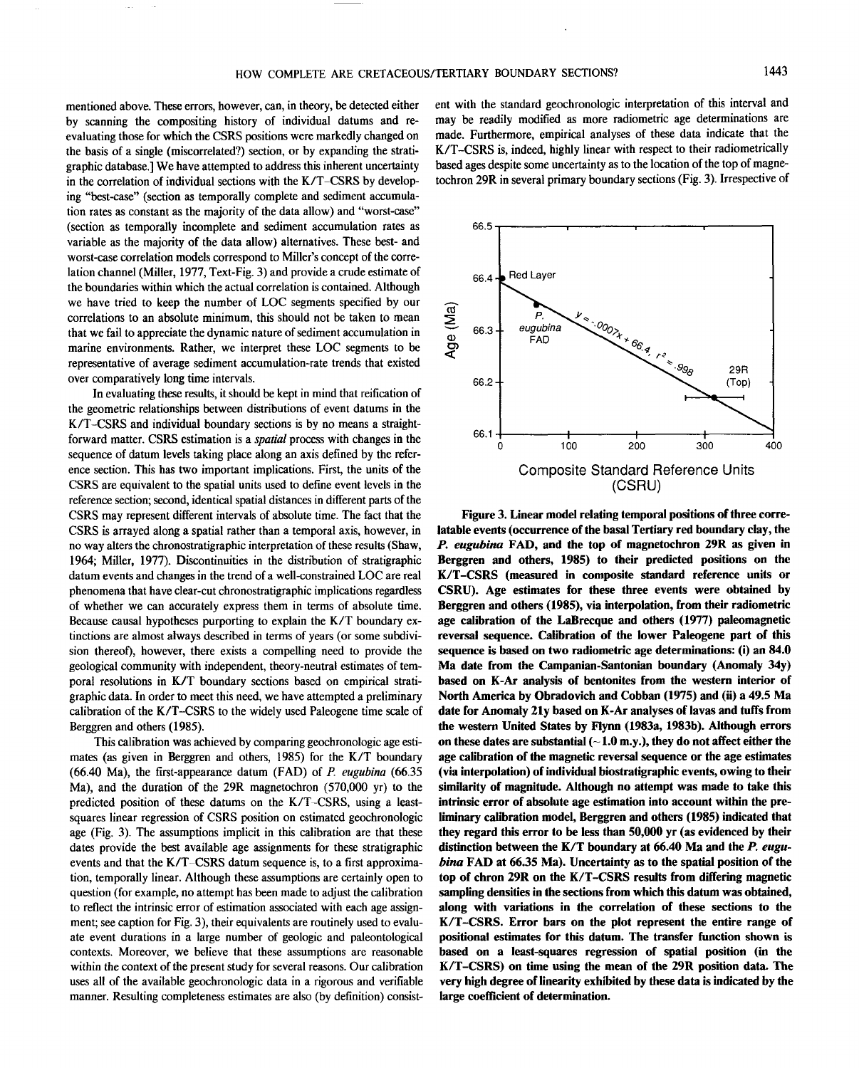mentioned above. These errors, however, can, in theory, be detected either by scanning the compositing history of individual datums and reevaluating those for which the CSRS positions were markedly changed on the basis of a single (miscorrelated?) section, or by expanding the stratigraphic database.] We have attempted to address this inherent uncertainty in the correlation of individual sections with the K/T-CSRS by developing "best-case" (section as temporally complete and sediment accumulation rates as constant as the majority of the data allow) and "worst-case" (section as temporally incomplete and sediment accumulation rates as variable as the majority of the data allow) alternatives. These best- and worst-case correlation models correspond to Miller's concept of the correlation channel (Miller, 1977, Text-Fig. 3) and provide a crude estimate of the boundaries within which the actual correlation is contained. Although we have tried to keep the number of LOC segments specified by our correlations to an absolute minimum, this should not be taken to mean that we fail to appreciate the dynamic nature of sediment accumulation in marine environments. Rather, we interpret these LOC segments to be representative of average sediment accumulation-rate trends that existed over comparatively long time intervals.

In evaluating these results, it should be kept in mind that reification of the geometric relationships between distributions of event datums in the K/T-CSRS and individual boundary sections is by no means a straightforward matter. CSRS estimation is a *spatial* process with changes in the sequence of datum levels taking place along an axis defined by the reference section. This has two important implications. First, the units of the CSRS are equivalent to the spatial units used to define event levels in the reference section; second, identical spatial distances in different parts of the CSRS may represent different intervals of absolute time. The fact that the CSRS is arrayed along a spatial rather than a temporal axis, however, in no way alters the chronostratigraphic interpretation of these results (Shaw, 1964; Miller, 1977). Discontinuities in the distribution of stratigraphic datum events and changes in the trend of a well-constrained LOC are real phenomena that have clear-cut chronostratigraphic implications regardless of whether we can accurately express them in terms of absolute time. Because causal hypotheses purporting to explain the K/T boundary extinctions are almost always described in terms of years (or some subdivision thereof), however, there exists a compelling need to provide the geological community with independent, theory-neutral estimates of temporal resolutions in K/T boundary sections based on empirical stratigraphic data. In order to meet this need, we have attempted a preliminary calibration of the K/T-CSRS to the widely used Paleogene time scale of Berggren and others (1985).

This calibration was achieved by comparing geochronologic age estimates (as given in Berggren and others, 1985) for the K/T boundary (66.40 Ma), the first-appearance datum (FAD) of *P. eugubina* (66.35 Ma), and the duration of the 29R magnetochron (570,000 yr) to the predicted position of these datums on the K/T-CSRS, using a leastsquares linear regression of CSRS position on estimated geochronologic age (Fig. 3). The assumptions implicit in this calibration are that these dates provide the best available age assignments for these stratigraphic events and that the K/T-CSRS datum sequence is, to a first approximation, temporally linear. Although these assumptions are certainly open to question (for example, no attempt has been made to adjust the calibration to reflect the intrinsic error of estimation associated with each age assignment; see caption for Fig. 3), their equivalents are routinely used to evaluate event durations in a large number of geologic and paleontological contexts. Moreover, we believe that these assumptions are reasonable within the context of the present study for several reasons. Our calibration uses all of the available geochronologic data in a rigorous and verifiable manner. Resulting completeness estimates are also (by definition) consistent with the standard geochronologic interpretation of this interval and may be readily modified as more radiometric age determinations are made. Furthermore, empirical analyses of these data indicate that the K/T-CSRS is, indeed, highly linear with respect to their radiometrically based ages despite some uncertainty as to the location of the top of magnetochron 29R in several primary boundary sections (Fig. 3). Irrespective of



**Figure 3. Linear model relating temporal positions of three correlatable events (occurrence of the basal Tertiary red boundary clay, the**  *P. eugubina* **FAD, and the top of magnetochron 29R as given in Berggren and others, 1985) to their predicted positions on the K/T-CSRS (measured in composite standard reference units or CSRU). Age estimates for these three events were obtained by Berggren and others (1985), via interpolation, from their radiometric age calibration of the LaBrecque and others (1977) paleomagnetic reversal sequence. Calibration of the lower Paleogene part of this sequence is based on two radiometric age determinations: (i) an 84.0 Ma date from the Campanian-Santonian boundary (Anomaly 34y) based on K-Ar analysis of bentonites from the western interior of North America by Obradovich and Cobban (1975) and (ii) a 49.5 Ma date for Anomaly 21y based on K-Ar analyses of lavas and tuffs from the western United States by Flynn (1983a, 1983b). Although errors**  on these dates are substantial  $(-1.0 \text{ m} \cdot \text{y})$ , they do not affect either the **age calibration of the magnetic reversal sequence or the age estimates (via interpolation) of individual biostratigraphic events, owing to their similarity of magnitude. Although no attempt was made to take this intrinsic error of absolute age estimation into account within the preliminary calibration model, Berggren and others (1985) indicated that they regard this error to be less than 50,000 yr (as evidenced by their distinction between the K/T boundary at 66.40 Ma and the** *P. eugubina* **FAD at 66.35 Ma). Uncertainty as to the spatial position of the top of chron 29R on the K/T-CSRS results from differing magnetic sampling densities in the sections from which this datum was obtained, along with variations in the correlation of these sections to the K/T-CSRS. Error bars on the plot represent the entire range of positional estimates for this datum. The transfer function shown is based on a least-squares regression of spatial position (in the K/T-CSRS) on time using the mean of the 29R position data. The very high degree of linearity exhibited by these data is indicated by the large coefficient of determination.**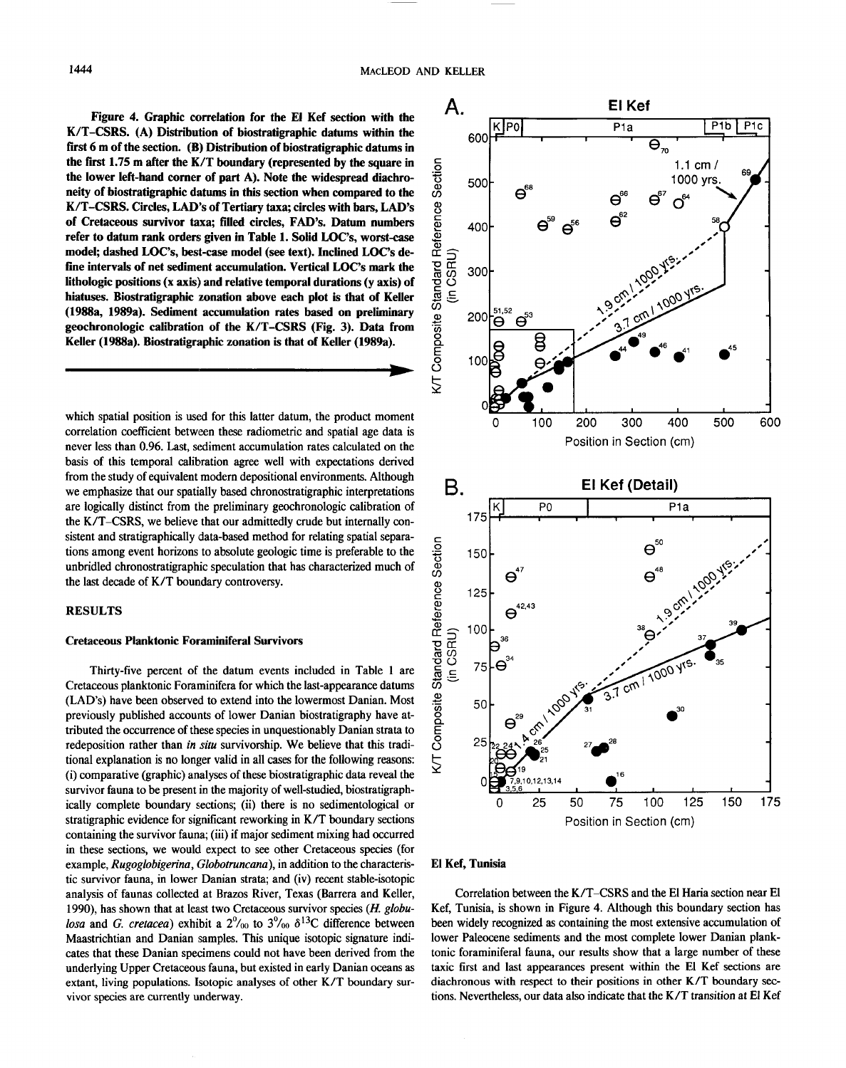**Figure 4. Graphic correlation for the El Kef section with the K/T-CSRS. (A) Distribution of biostratigraphic datums within the first 6 m of the section. (B) Distribution of biostratigraphic datums in the first 1.75 m after the K/T boundary (represented by the square in the lower left-hand corner of part A). Note the widespread diachroneity of biostratigraphic datums in this section when compared to the K/T-CSRS. Circles, LAD's of Tertiary taxa; circles with bars, LAD's of Cretaceous survivor taxa; filled circles, FAD's. Datum numbers refer to datum rank orders given in Table 1. Solid LOC's, worst-case model; dashed LOC's, best-case model (see text). Inclined LOC's define intervals of net sediment accumulation. Vertical LOC's mark the lithologic positions (x axis) and relative temporal durations (y axis) of hiatuses. Biostratigraphic zonation above each plot is that of Keller (1988a, 1989a). Sediment accumulation rates based on preliminary geochronologic calibration of the K/T-CSRS (Fig. 3). Data from Keller (1988a). Biostratigraphic zonation is that of Keller (1989a).** 

which spatial position is used for this latter datum, the product moment correlation coefficient between these radiometric and spatial age data is never less than 0.96. Last, sediment accumulation rates calculated on the basis of this temporal calibration agree well with expectations derived from the study of equivalent modern depositional environments. Although we emphasize that our spatially based chronostratigraphic interpretations are logically distinct from the preliminary geochronologic calibration of the K/T-CSRS, we believe that our admittedly crude but internally consistent and stratigraphically data-based method for relating spatial separations among event horizons to absolute geologic time is preferable to the unbridled chronostratigraphic speculation that has characterized much of the last decade of K/T boundary controversy.

# **RESULTS**

#### **Cretaceous Planktonic Foraminiferal Survivors**

Thirty-five percent of the datum events included in Table 1 are Cretaceous planktonic Foraminifera for which the last-appearance datums (LAD's) have been observed to extend into the lowermost Danian. Most previously published accounts of lower Danian biostratigraphy have attributed the occurrence of these species in unquestionably Danian strata to redeposition rather than *in situ* survivorship. We believe that this traditional explanation is no longer valid in all cases for the following reasons: (i) comparative (graphic) analyses of these biostratigraphic data reveal the survivor fauna to be present in the majority of well-studied, biostratigraphically complete boundary sections; (ii) there is no sedimentological or stratigraphic evidence for significant reworking in K/T boundary sections containing the survivor fauna; (iii) if major sediment mixing had occurred in these sections, we would expect to see other Cretaceous species (for example, *Rugoglobigerina, Globotruncana),* in addition to the characteristic survivor fauna, in lower Danian strata; and (iv) recent stable-isotopic analysis of faunas collected at Brazos River, Texas (Barrera and Keller, 1990), has shown that at least two Cretaceous survivor species *(H. globulosa* and *G. cretacea*) exhibit a  $2^{\degree}/_{00}$  to  $3^{\degree}/_{00}$   $\delta^{13}$ C difference between Maastrichtian and Danian samples. This unique isotopic signature indicates that these Danian specimens could not have been derived from the underlying Upper Cretaceous fauna, but existed in early Danian oceans as extant, living populations. Isotopic analyses of other K/T boundary survivor species are currently underway.



#### El **Kef, Tunisia**

Correlation between the K/T-CSRS and the El Haria section near El Kef, Tunisia, is shown in Figure 4. Although this boundary section has been widely recognized as containing the most extensive accumulation of lower Paleocene sediments and the most complete lower Danian planktonic foraminiferal fauna, our results show that a large number of these taxic first and last appearances present within the El Kef sections are diachronous with respect to their positions in other K/T boundary sections. Nevertheless, our data also indicate that the K/T transition at El Kef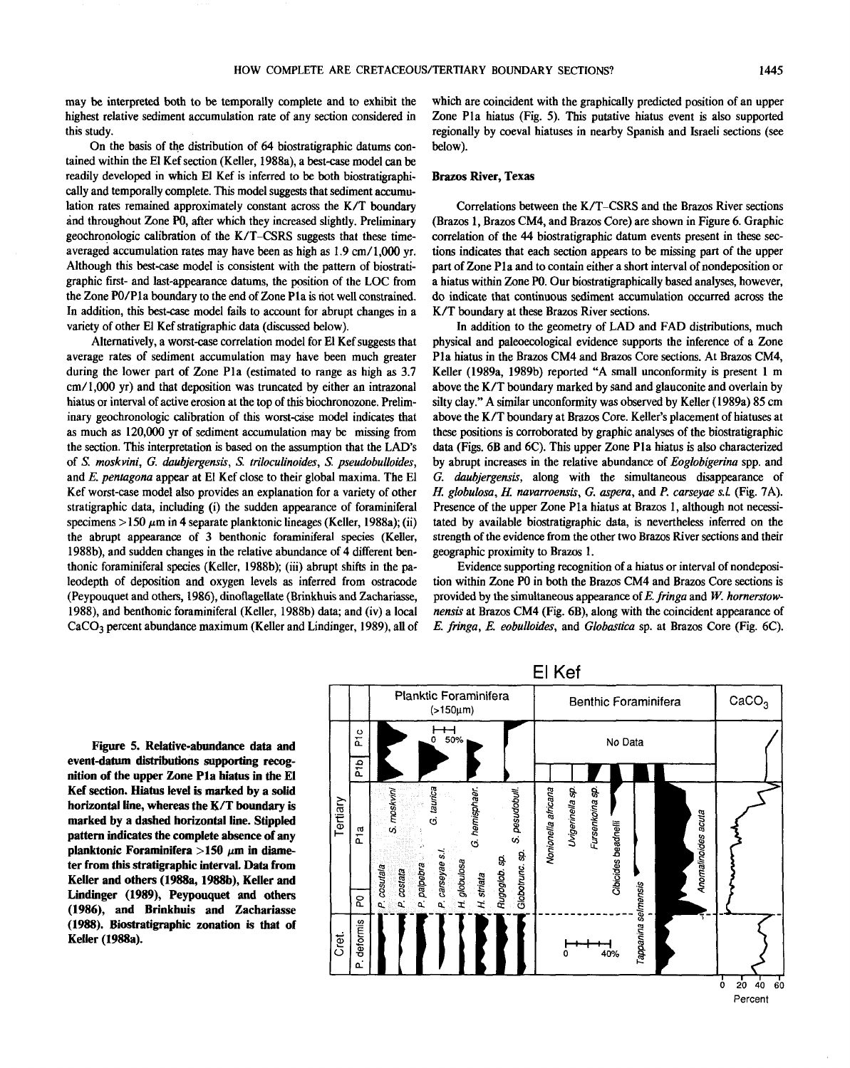may be interpreted both to be temporally complete and to exhibit the highest relative sediment accumulation rate of any section considered in this study.

On the basis of the distribution of 64 biostratigraphic datums contained within the El Kef section (Keller, 1988a), a best-case model can be readily developed in which El Kef is inferred to be both biostratigraphically and temporally complete. This model suggests that sediment accumulation rates remained approximately constant across the K/T boundary and throughout Zone PO, after which they increased slightly. Preliminary geochronologic calibration of the K/T-CSRS suggests that these timeaveraged accumulation rates may have been as high as 1.9 cm/1,000 yr. Although this best-case model is consistent with the pattern of biostratigraphic first- and last-appearance datums, the position of the LOC from the Zone PO/Pla boundary to the end of Zone Pla is riot well constrained. In addition, this best-case model fails to account for abrupt changes in a variety of other El Kef stratigraphic data (discussed below).

Alternatively, a worst-case correlation model for El Kef suggests that average rates of sediment accumulation may have been much greater during the lower part of Zone Pla (estimated to range as high as 3.7 cm/1,000 yr) and that deposition was truncated by either an intrazonal hiatus or interval of active erosion at the top of this biochronozone. Preliminary geochronologic calibration of this worst-case model indicates that as much as 120,000 yr of sediment accumulation may be missing from the section. This interpretation is based on the assumption that the LAD's of *S. moskvini, G. daubjergensis, S. triloculinoides, S. pseudobulloides,*  and *& pentagona* appear at El Kef close to their global maxima. The El Kef worst-case model also provides an explanation for a variety of other stratigraphic data, including (i) the sudden appearance of foraminiferal specimens  $>150 \mu$ m in 4 separate planktonic lineages (Keller, 1988a); (ii) the abrupt appearance of 3 benthonic foraminiferal species (Keller, 1988b), and sudden changes in the relative abundance of 4 different benthonic foraminiferal species (Keller, 1988b); (iii) abrupt shifts in the paleodepth of deposition and oxygen levels as inferred from ostracode (Peypouquet and others, 1986), dinoflagellate (Brinkhuis and Zachariasse, 1988), and benthonic foraminiferal (Keller, 1988b) data; and (iv) a local  $CaCO<sub>3</sub>$  percent abundance maximum (Keller and Lindinger, 1989), all of which are coincident with the graphically predicted position of an upper Zone Pla hiatus (Fig. 5). This putative hiatus event is also supported regionally by coeval hiatuses in nearby Spanish and Israeli sections (see below).

### **Brazos River, Texas**

Correlations between the K/T-CSRS and the Brazos River sections (Brazos 1, Brazos CM4, and Brazos Core) are shown in Figure 6. Graphic correlation of the 44 biostratigraphic datum events present in these sections indicates that each section appears to be missing part of the upper part of Zone Pla and to contain either a short interval of nondeposition or a hiatus within Zone P0. Our biostratigraphically based analyses, however, do indicate that continuous sediment accumulation occurred across the K/T boundary at these Brazos River sections.

In addition to the geometry of LAD and FAD distributions, much physical and paleoecological evidence supports the inference of a Zone Pla hiatus in the Brazos CM4 and Brazos Core sections. At Brazos CM4, Keller (1989a, 1989b) reported "A small unconformity is present 1 m above the K/T boundary marked by sand and glauconite and overlain by silty clay." A similar unconformity was observed by Keller (1989a) 85 cm above the K/T boundary at Brazos Core. Keller's placement of hiatuses at these positions is corroborated by graphic analyses of the biostratigraphic data (Figs. 6B and 6C). This upper Zone Pla hiatus is also characterized by abrupt increases in the relative abundance of *Eoglobigerina* spp. and *G. daubjergensis,* along with the simultaneous disappearance of *H. globulosa, H. navarroensis, G. aspera,* and *P. carseyae s.L* (Fig. 7A). Presence of the upper Zone Pla hiatus at Brazos 1, although not necessitated by available biostratigraphic data, is nevertheless inferred on the strength of the evidence from the other two Brazos River sections and their geographic proximity to Brazos 1.

Evidence supporting recognition of a hiatus or interval of nondeposition within Zone P0 in both the Brazos CM4 and Brazos Core sections is provided by the simultaneous appearance *oiE.fringa* and *W. homerstownensis* at Brazos CM4 (Fig. 6B), along with the coincident appearance of *E. fringa, E. eobulloides,* and *Globastica* sp. at Brazos Core (Fig. 6C).

**Figure 5. Relative-abundance data and event-datum distributions supporting recognition of the upper Zone Pla hiatus in the** El **Kef section. Hiatus level is marked by a solid horizontal line, whereas the K/T boundary is marked by a dashed horizontal line. Stippled pattern indicates the complete absence of any**  planktonic Foraminifera  $>150 \mu m$  in diame**ter from this stratigraphic interval. Data from Keller and others (1988a, 1988b), Keller and Lindinger (1989), Peypouquet and others (1986), and Brinkhuis and Zachariasse (1988). Biostratigraphic zonation is that of Keller (1988a).** 



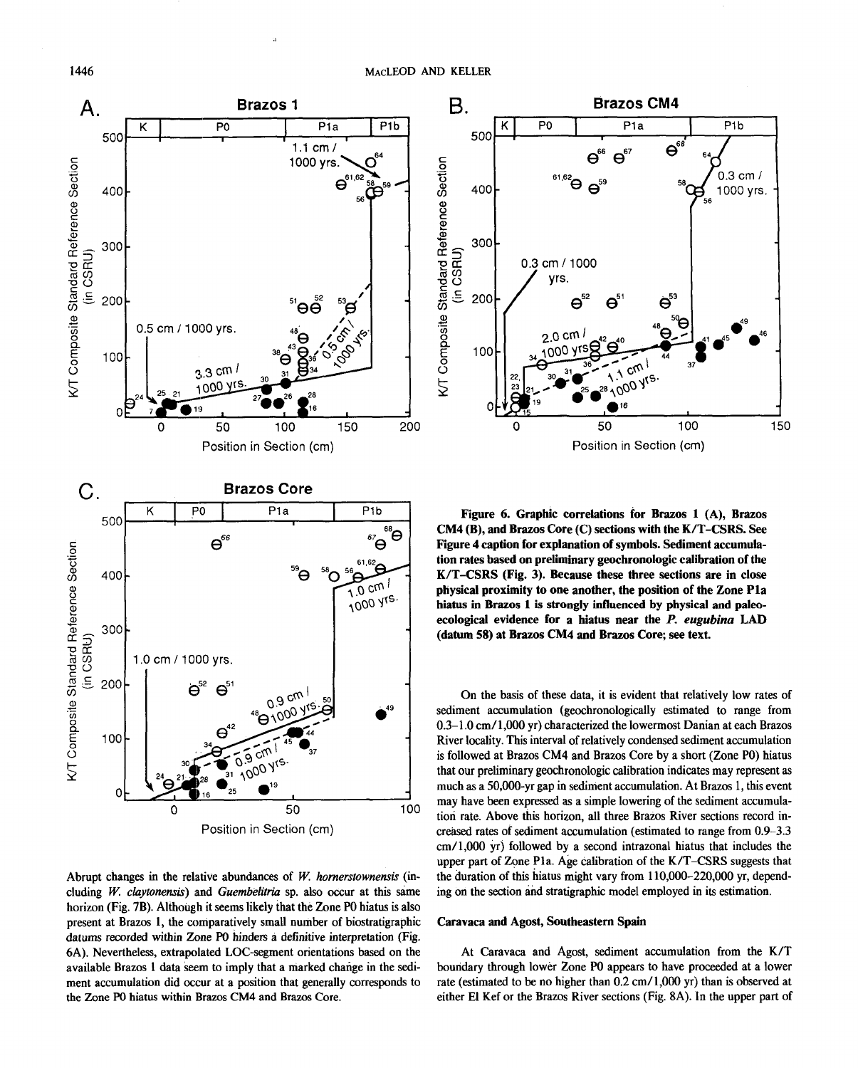

Abrupt changes in the relative abundances of  $W$ . hornerstownensis (including  $W$ . *claytonensis*) and *Guembelitria* sp. also occur at this same horizon (Fig. 7B). Although it seems likely that the Zone P0 hiatus is also present at Brazos 1, the comparatively small number of biostratigraphic datums recorded within Zone P0 hinders a definitive interpretation (Fig. 6A). Nevertheless, extrapolated LOC-segment orientations based on the available Brazos 1 data seem to imply that a marked change in the sediment accumulation did occur at a position that generally corresponds to the Zone P0 hiatus within Brazos CM4 and Brazos Core.



Figure 6. Graphic correlations for Brazos 1 (A), Brazos CM4 (B), and Brazos Core (C) sections with the K/T-CSRS. See Figure 4 caption for explanation of symbols. Sediment accumulation rates based on preliminary geochronologic calibration of the K/T-CSRS (Fig. 3). Because these three sections are in close physical proximity to one another, the position of the Zone P1a hiatus in Brazos 1 is strongly influenced by physical and paleoecological evidence for a hiatus near the P. eugubina LAD (datum 58) at Brazos CM4 and Brazos Core; see text.

On the basis of these data, it is evident that relatively low rates of sediment accumulation (geochronologically estimated to range from 0.3-1.0 cm/1,000 yr) characterized the lowermost Danian at each Brazos River locality. This interval of relatively condensed sediment accumulation is followed at Brazos CM4 and Brazos Core by a short (Zone P0) hiatus that our preliminary geochronologic calibration indicates may represent as much as a 50,000-yr gap in sediment accumulation. At Brazos 1, this event may have been expressed as a simple lowering of the sediment accumulation rate. Above this horizon, all three Brazos River sections record increased rates of sediment accumulation (estimated to range from 0.9–3.3)  $cm/1,000$  yr) followed by a second intrazonal hiatus that includes the upper part of Zone P1a. Age calibration of the K/T-CSRS suggests that the duration of this hiatus might vary from 110,000–220,000 yr, depending on the section and stratigraphic model employed in its estimation.

## **Caravaca and Agost, Southeastern Spain**

At Caravaca and Agost, sediment accumulation from the K/T boundary through lower Zone P0 appears to have proceeded at a lower rate (estimated to be no higher than  $0.2$  cm/1,000 yr) than is observed at either El Kef or the Brazos River sections (Fig. 8A). In the upper part of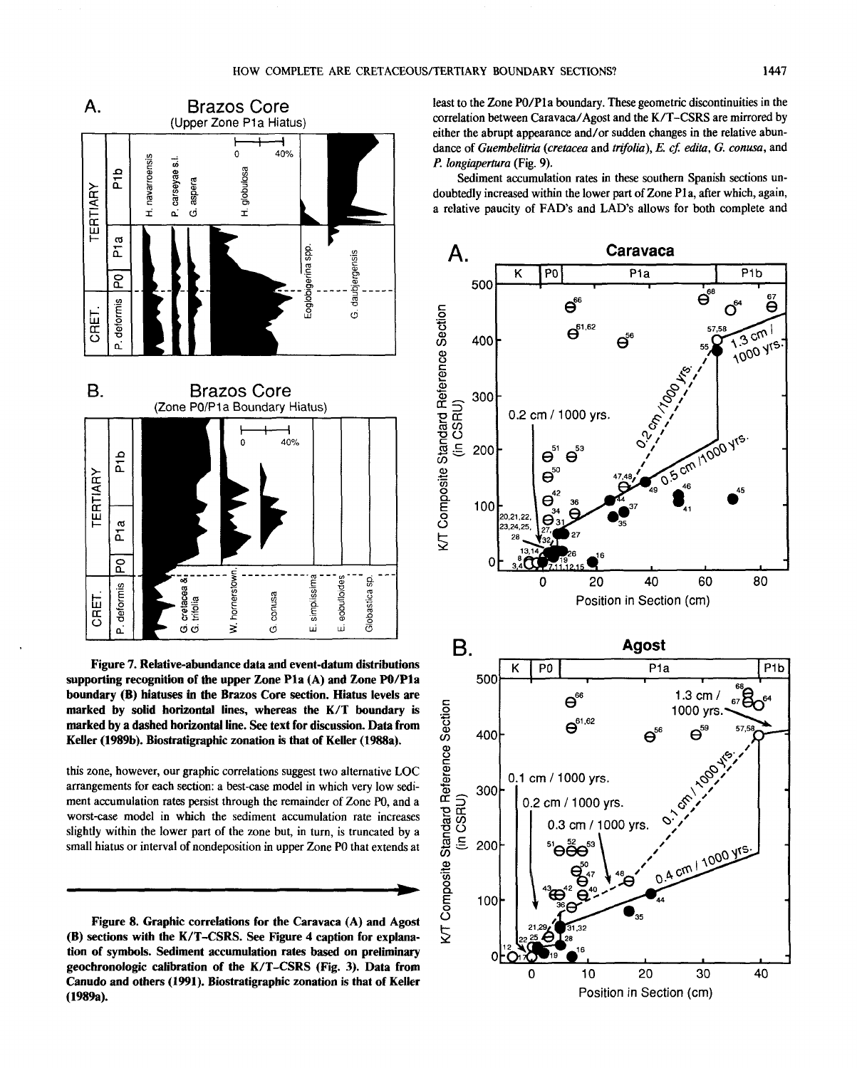

**Figure 7. Relative-abundance data and event-datum distributions supporting recognition of the upper Zone Pla (A) and Zone PO/Pla boundary (B) hiatuses in the Brazos Core section. Hiatus levels are marked by solid horizontal lines, whereas the K/T boundary is marked by a dashed horizontal line. See text for discussion. Data from Keller (1989b). Biostratigraphic zonation is that of Keller (1988a).** 

this zone, however, our graphic correlations suggest two alternative LOC arrangements for each section: a best-case model in which very low sediment accumulation rates persist through the remainder of Zone P0, and a worst-case model in which the sediment accumulation rate increases slightly within the lower part of the zone but, in turn, is truncated by a small hiatus or interval of nondeposition in upper Zone P0 that extends at

**Figure 8. Graphic correlations for the Caravaca (A) and Agost (B) sections with the K/T-CSRS. See Figure 4 caption for explanation of symbols. Sediment accumulation rates based on preliminary geochronologic calibration of the K/T-CSRS (Fig. 3). Data from Canudo and others (1991). Biostratigraphic zonation is that of Keller (1989a).** 

least to the Zone PO/Pla boundary. These geometric discontinuities in the correlation between Caravaca/Agost and the K/T-CSRS are mirrored by either the abrupt appearance and/or sudden changes in the relative abundance of *Guembelitria (cretacea* and *trifolia), E. cf. edita, G. conusa,* and *P. longiapertura* (Fig. 9).

Sediment accumulation rates in these southern Spanish sections undoubtedly increased within the lower part of Zone Pla, after which, again, a relative paucity of FAD's and LAD's allows for both complete and

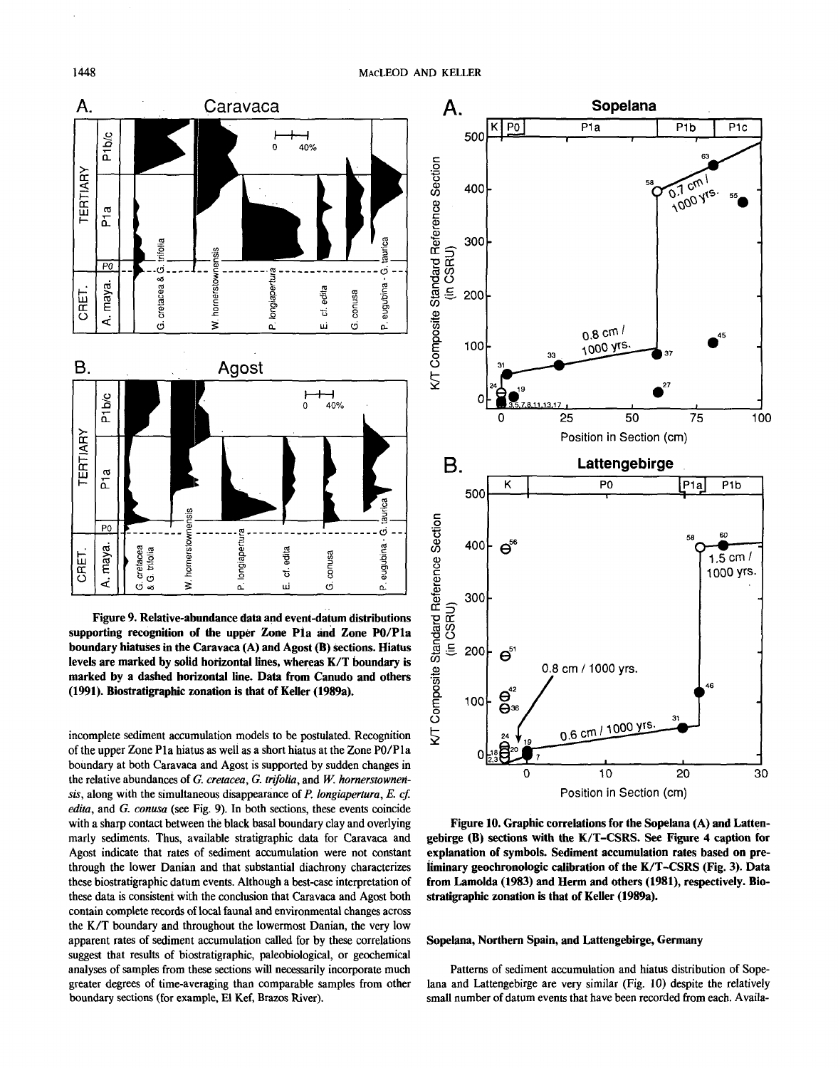

**Figure 9. Relative-abundance data and event-datum distributions supporting recognition of the upper Zone Pia and Zone PO/Pla boundary hiatuses in the Caravaca (A) and Agost (B) sections. Hiatus levels are marked by solid horizontal lines, whereas K/T boundary is marked by a dashed horizontal line. Data from Canudo and others**  (1991). Biostratigraphic zonation is that of Keller (1989a).

incomplete sediment accumulation models to be postulated. Recognition of the upper Zone Pla hiatus as well as a short hiatus at the Zone P0/Pla boundary at both Caravaca and Agost is supported by sudden changes in the relative abundances of *G. cretacea, G. trifolia,* and *W. homerstownerisis,* along with the simultaneous disappearance of *P. longiapertura, E. cf. édita*, and *G. conusa* (see Fig. 9). In both sections, these events coincide with a sharp contact between thè black basal boundary clay and overlying marly sediments. Thus, available stratigraphie data for Caravaca and Agost indicate that rates of sediment accumulation were not constant through the lower Danian and that substantial diachrony characterizes these biostratigraphic datum events. Although a best-case interpretation of these data is consistent with the conclusion that Caravaca and Agost both contain complete records of local faunal and environmental changes across the K/T boundary and throughout the lowermost Danian, the very low apparent rates of sediment accumulation called for by these correlations suggest that results of biostratigraphic, paleobiological, or geochemical analyses of samples from these sections will necessarily incorporate much greater degrees of time-averaging than comparable samples from other boundary sections (for example, El Kef, Brazos River).



**Figure 10. Graphic correlations for the Sopelana (A) and Lattengebirge (B) sections with the K/T-CSRS. See Figure 4 caption for explanation of symbols. Sediment accumulation rates based on preliminary geochronologic calibration of the K/T-CSRS (Fig. 3). Data from Lamolda (1983) and Herrn and others (1981), respectively. Biostratigraphic zonation is that of Keller (1989a).** 

# **Sopelana, Northern Spain, and Lattengebirge, Germany**

Patterns of sediment accumulation and hiatus distribution of Sopelana and Lattengebirge are very similar (Fig. 10) despite the relatively small number of datum events that have been recorded from each. Availa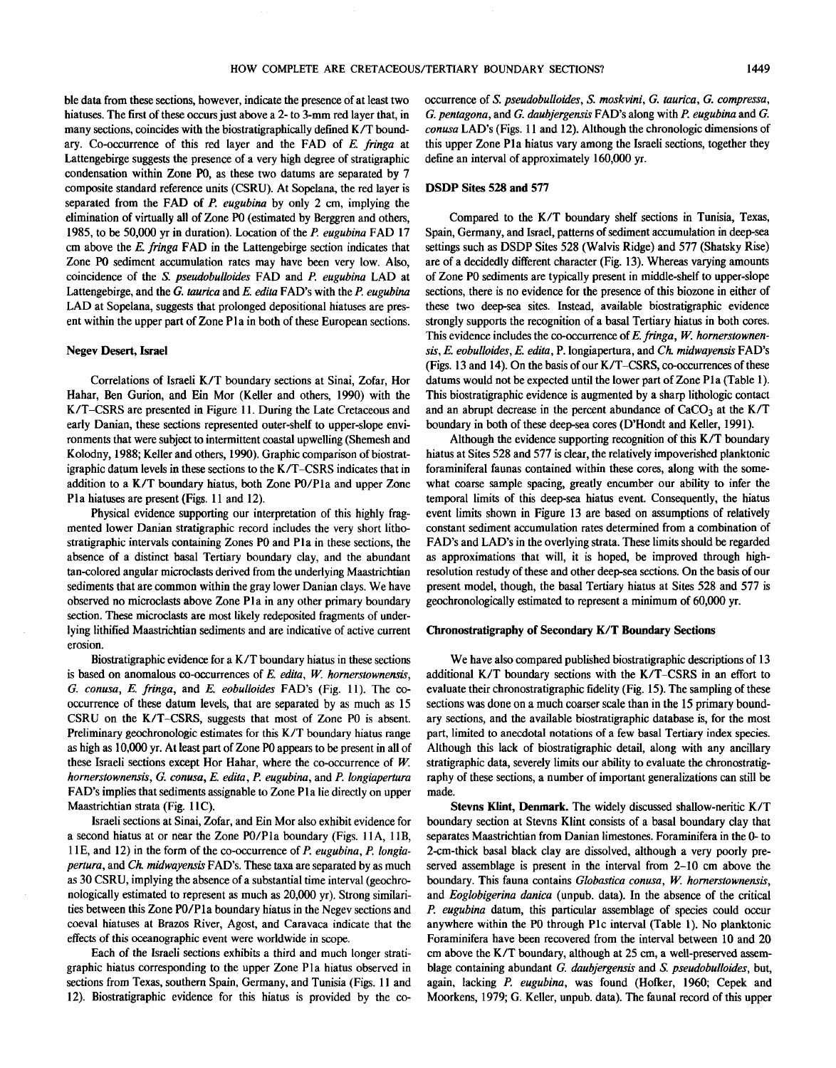ble data from these sections, however, indicate the presence of at least two hiatuses. The first of these occurs just above a 2- to 3-mm red layer that, in many sections, coincides with the biostratigraphically defined K/T boundary. Co-occurrence of this red layer and the FAD of *E fringa* at Lattengebirge suggests the presence of a very high degree of stratigraphic condensation within Zone PO, as these two datums are separated by 7 composite standard reference units (CSRU). At Sopelana, the red layer is separated from the FAD of *P. eugubina* by only 2 cm, implying the elimination of virtually all of Zone PO (estimated by Berggren and others, 1985, to be 50,000 yr in duration). Location of the *P. eugubina* FAD 17 cm above the *K fringa* FAD in the Lattengebirge section indicates that Zone PO sediment accumulation rates may have been very low. Also, coincidence of the *S. pseudobulloides* FAD and *P. eugubina* LAD at Lattengebirge, and the *G. taurica* and *K edita* FAD's with the *P. eugubina*  LAD at Sopelana, suggests that prolonged depositional hiatuses are present within the upper part of Zone Pla in both of these European sections.

## **Negev Desert, Israel**

Correlations of Israeli K/T boundary sections at Sinai, Zofar, Hor Hahar, Ben Gurion, and Ein Mor (Keller and others, 1990) with the K/T-CSRS are presented in Figure 11. During the Late Cretaceous and early Danian, these sections represented outer-shelf to upper-slope environments that were subject to intermittent coastal upwelling (Shemesh and Kolodny, 1988; Keller and others, 1990). Graphic comparison of biostratigraphic datum levels in these sections to the K/T-CSRS indicates that in addition to a K/T boundary hiatus, both Zone PO/Pla and upper Zone Pla hiatuses are present (Figs. 11 and 12).

Physical evidence supporting our interpretation of this highly fragmented lower Danian stratigraphic record includes the very short lithostratigraphic intervals containing Zones P0 and Pla in these sections, the absence of a distinct basal Tertiary boundary clay, and the abundant tan-colored angular microclasts derived from the underlying Maastrichtian sediments that are common within the gray lower Danian clays. We have observed no microclasts above Zone Pla in any other primary boundary section. These microclasts are most likely redeposited fragments of underlying lithified Maastrichtian sediments and are indicative of active current erosion.

Biostratigraphic evidence for a K/T boundary hiatus in these sections is based on anomalous co-occurrences of *E. edita, W. hornerstownensis, G. conusa, E fringa,* and *E. eobulloides* FAD's (Fig. 11). The cooccurrence of these datum levels, that are separated by as much as 15 CSRU on the K/T-CSRS, suggests that most of Zone P0 is absent. Preliminary geochronologic estimates for this K/T boundary hiatus range as high as 10,000 yr. At least part of Zone P0 appears to be present in all of these Israeli sections except Hor Hahar, where the co-occurrence of *W. hornerstownensis, G. conusa, E. edita, P. eugubina,* and *P. longiapertura*  FAD's implies that sediments assignable to Zone Pla lie directly on upper Maastrichtian strata (Fig. 11C).

Israeli sections at Sinai, Zofar, and Ein Mor also exhibit evidence for a second hiatus at or near the Zone PO/Pla boundary (Figs. 11 A, 1 IB, 1 IE, and 12) in the form of the co-occurrence of *P. eugubina, P. longiapertura,* and *Ch. midwayensis* FAD's. These taxa are separated by as much as 30 CSRU, implying the absence of a substantial time interval (geochronologically estimated to represent as much as 20,000 yr). Strong similarities between this Zone PO/Pla boundary hiatus in the Negev sections and coeval hiatuses at Brazos River, Agost, and Caravaca indicate that the effects of this oceanographic event were worldwide in scope.

Each of the Israeli sections exhibits a third and much longer stratigraphic hiatus corresponding to the upper Zone Pla hiatus observed in sections from Texas, southern Spain, Germany, and Tunisia (Figs. 11 and 12). Biostratigraphic evidence for this hiatus is provided by the cooccurrence of *S. pseudobulloides, S. moskvini, G. taurica, G. compressa, G. pentagona,* and *G. daubjergensis* FAD's along with *P. eugubina* and *G. conusa* LAD's (Figs. 11 and 12). Although the chronologic dimensions of this upper Zone Pla hiatus vary among the Israeli sections, together they define an interval of approximately 160,000 yr.

## **DSDP Sites 528 and 577**

Compared to the K/T boundary shelf sections in Tunisia, Texas, Spain, Germany, and Israel, patterns of sediment accumulation in deep-sea settings such as DSDP Sites 528 (Walvis Ridge) and 577 (Shatsky Rise) are of a decidedly different character (Fig. 13). Whereas varying amounts of Zone P0 sediments are typically present in middle-shelf to upper-slope sections, there is no evidence for the presence of this biozone in either of these two deep-sea sites. Instead, available biostratigraphic evidence strongly supports the recognition of a basal Tertiary hiatus in both cores. This evidence includes the co-occurrence of *E fringa, W. hornerstownensis, E. eobulloides, E. edita,* P. longiapertura, and *Ch. midwayensis* FAD's (Figs. 13 and 14). On the basis of our K/T-CSRS, co-occurrences of these datums would not be expected until the lower part of Zone Pla (Table 1). This biostratigraphic evidence is augmented by a sharp lithologic contact and an abrupt decrease in the percent abundance of  $CaCO<sub>3</sub>$  at the K/T boundary in both of these deep-sea cores (D'Hondt and Keller, 1991).

Although the evidence supporting recognition of this K/T boundary hiatus at Sites 528 and 577 is clear, the relatively impoverished planktonic foraminiferal faunas contained within these cores, along with the somewhat coarse sample spacing, greatly encumber our ability to infer the temporal limits of this deep-sea hiatus event. Consequently, the hiatus event limits shown in Figure 13 are based on assumptions of relatively constant sediment accumulation rates determined from a combination of FAD's and LAD's in the overlying strata. These limits should be regarded as approximations that will, it is hoped, be improved through highresolution restudy of these and other deep-sea sections. On the basis of our present model, though, the basal Tertiary hiatus at Sites 528 and 577 is geochronologically estimated to represent a minimum of 60,000 yr.

## **Chronostratigraphy of Secondary K/T Boundary Sections**

We have also compared published biostratigraphic descriptions of 13 additional K/T boundary sections with the K/T-CSRS in an effort to evaluate their chronostratigraphic fidelity (Fig. 15). The sampling of these sections was done on a much coarser scale than in the 15 primary boundary sections, and the available biostratigraphic database is, for the most part, limited to anecdotal notations of a few basal Tertiary index species. Although this lack of biostratigraphic detail, along with any ancillary stratigraphic data, severely limits our ability to evaluate the chronostratigraphy of these sections, a number of important generalizations can still be made.

**Stevns Klint, Denmark.** The widely discussed shallow-neritic K/T boundary section at Stevns Klint consists of a basal boundary clay that separates Maastrichtian from Danian limestones. Foraminifera in the 0- to 2-cm-thick basal black clay are dissolved, although a very poorly preserved assemblage is present in the interval from 2-10 cm above the boundary. This fauna contains *Globastica conusa, W. hornerstownensis,*  and *Eoglobigerina danica* (unpub. data). In the absence of the critical *P. eugubina* datum, this particular assemblage of species could occur anywhere within the P0 through Pic interval (Table 1). No planktonic Foraminifera have been recovered from the interval between 10 and 20 cm above the K/T boundary, although at 25 cm, a well-preserved assemblage containing abundant *G. daubjergensis* and *S. pseudobulloides,* but, again, lacking *P. eugubina,* was found (Hofker, 1960; Cepek and Moorkens, 1979; G. Keller, unpub. data). The faunal record of this upper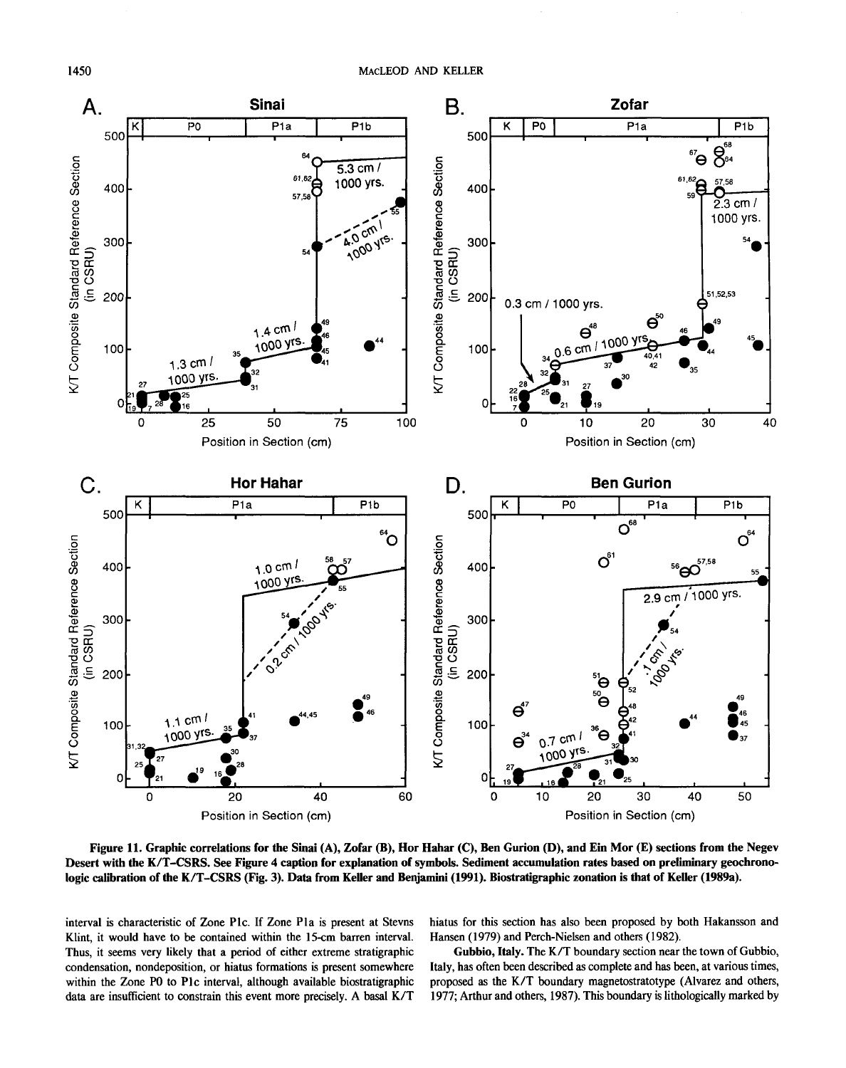

Figure 11. Graphic correlations for the Sinai (A), Zofar (B), Hor Hahar (C), Ben Gurion (D), and Ein Mor (E) sections from the Negev Desert with the K/T-CSRS. See Figure 4 caption for explanation of symbols. Sediment accumulation rates based on preliminary geochronologic calibration of the K/T-CSRS (Fig. 3). Data from Keller and Benjamini (1991). Biostratigraphic zonation is that of Keller (1989a).

interval is characteristic of Zone P1c. If Zone P1a is present at Stevns Klint, it would have to be contained within the 15-cm barren interval. Thus, it seems very likely that a period of either extreme stratigraphic condensation, nondeposition, or hiatus formations is present somewhere within the Zone P0 to P1c interval, although available biostratigraphic data are insufficient to constrain this event more precisely. A basal K/T hiatus for this section has also been proposed by both Hakansson and Hansen (1979) and Perch-Nielsen and others (1982).

Gubbio, Italy. The K/T boundary section near the town of Gubbio, Italy, has often been described as complete and has been, at various times, proposed as the K/T boundary magnetostratotype (Alvarez and others, 1977; Arthur and others, 1987). This boundary is lithologically marked by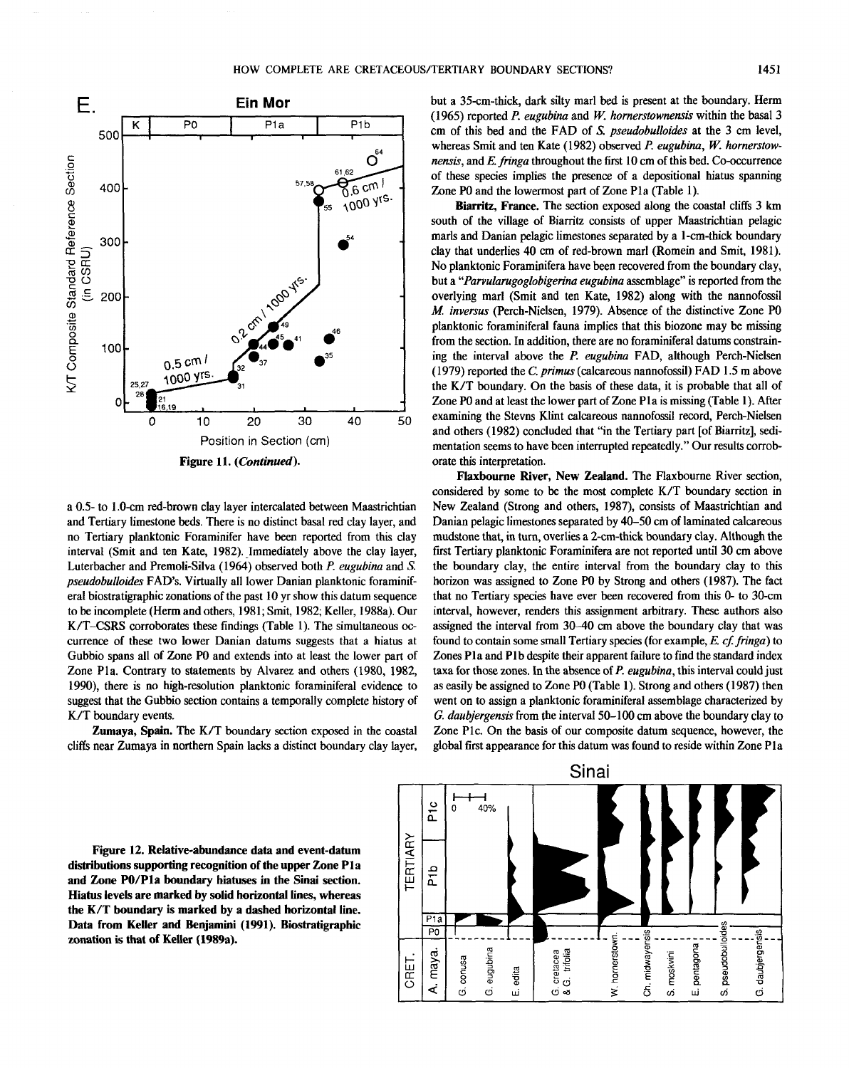

a 0.5- to 1.0-cm red-brown clay layer intercalated between Maastrichtian and Tertiary limestone beds. There is no distinct basal red clay layer, and no Tertiary planktonic Foraminifer have been reported from this clay interval (Smit and ten Kate, 1982). Immediately above the clay layer, Luterbacher and Premoli-Silva (1964) observed both *P. eugubina* and *S. pseudobulloides* FAD's. Virtually all lower Danian planktonic foraminiferal biostratigraphic zonations of the past 10 yr show this datum sequence to be incomplete (Henn and others, 1981; Smit, 1982; Keller, 1988a). Our K/T-CSRS corroborates these findings (Table 1). The simultaneous occurrence of these two lower Danian datums suggests that a hiatus at Gubbio spans all of Zone P0 and extends into at least the lower part of Zone P1a. Contrary to statements by Alvarez and others (1980, 1982, 1990), there is no high-resolution planktonic foraminiferal evidence to suggest that the Gubbio section contains a temporally complete history of K/T boundary events.

**Zumaya, Spain.** The K/T boundary section exposed in the coastal cliffs near Zumaya in northern Spain lacks a distinct boundary clay layer, but a 35-cm-thick, dark silty marl bed is present at the boundary. Herm (1965) reported *P. eugubina* and *W. homerstownensis* within the basal 3 cm of this bed and the FAD of *S. pseudobulloides* at the 3 cm level, whereas Smit and ten Kate (1982) observed *P. eugubina, W. homerstownensis,* and *K fringa* throughout the first 10 cm of this bed. Co-occurrence of these species implies the presence of a depositional hiatus spanning Zone P0 and the lowermost part of Zone Pla (Table 1).

**Biarritz, France.** The section exposed along the coastal cliffs 3 km south of the village of Biarritz consists of upper Maastrichtian pelagic marls and Danian pelagic limestones separated by a 1-cm-thick boundary clay that underlies 40 cm of red-brown marl (Romein and Smit, 1981). No planktonic Foraminifera have been recovered from the boundary clay, but a *"Parvularugoglobigerina eugubina* assemblage" is reported from the overlying marl (Smit and ten Kate, 1982) along with the nannofossil *M. inversus* (Perch-Nielsen, 1979). Absence of the distinctive Zone P0 planktonic foraminiferal fauna implies that this biozone may be missing from the section. In addition, there are no foraminiferal datums constraining the interval above the *P. eugubina* FAD, although Perch-Nielsen (1979) reported the *C. primus* (calcareous nannofossil) FAD 1.5 m above the K/T boundary. On the basis of these data, it is probable that all of Zone P0 and at least the lower part of Zone Pla is missing (Table 1). After examining the Stevns Klint calcareous nannofossil record, Perch-Nielsen and others (1982) concluded that "in the Tertiary part [of Biarritz], sedimentation seems to have been interrupted repeatedly." Our results corroborate this interpretation.

**Flaxbourne River, New Zealand.** The Flaxbourne River section, considered by some to be the most complete K/T boundary section in New Zealand (Strong and others, 1987), consists of Maastrichtian and Danian pelagic limestones separated by 40-50 cm of laminated calcareous mudstone that, in turn, overlies a 2-cm-thick boundary clay. Although the first Tertiary planktonic Foraminifera are not reported until 30 cm above the boundary clay, the entire interval from the boundary clay to this horizon was assigned to Zone P0 by Strong and others (1987). The fact that no Tertiary species have ever been recovered from this 0- to 30-cm interval, however, renders this assignment arbitrary. These authors also assigned the interval from 30-40 cm above the boundary clay that was found to contain some small Tertiary species (for example, *K cf. fringa)* to Zones Pla and Plb despite their apparent failure to find the standard index taxa for those zones. In the absence of P. *eugubina,* this interval could just as easily be assigned to Zone P0 (Table 1). Strong and others (1987) then went on to assign a planktonic foraminiferal assemblage characterized by *G. daubjergensis* from the interval 50-100 cm above the boundary clay to Zone Pic. On the basis of our composite datum sequence, however, the global first appearance for this datum was found to reside within Zone Pla



**Figure 12. Relative-abundance data and event-datum distributions supporting recognition of the upper Zone Pla and Zone P0/Pla boundary hiatuses in the Sinai section. Hiatus levels are marked by solid horizontal lines, whereas the K/T boundary is marked by a dashed horizontal line. Data from Keller and Benjamini (1991). Biostratigraphic** 

**zonation is that of Keller (1989a).**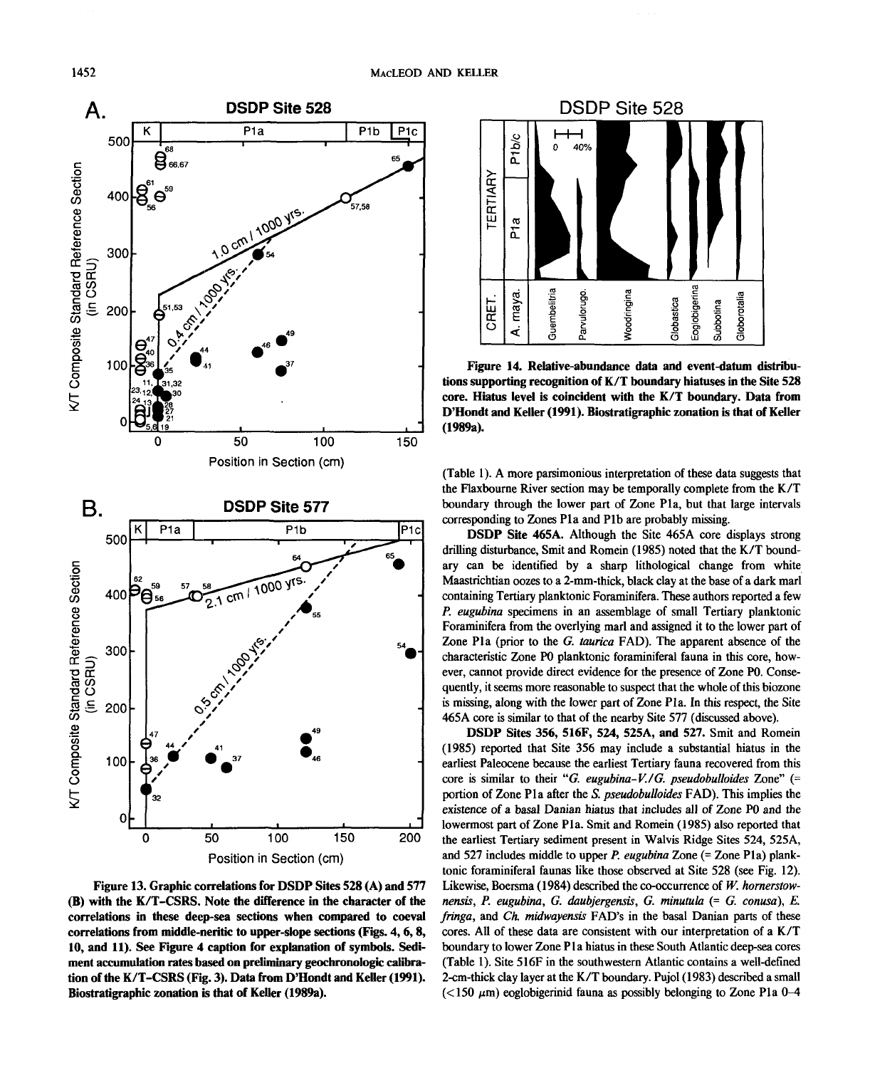

**Figure 13. Graphic correlations for DSDP Sites 528 (A) and 577 (B) with the K/T-CSRS. Note the difference in the character of the correlations in these deep-sea sections when compared to coeval correlations from middle-neritic to upper-slope sections (Figs. 4,6,8, 10, and 11). See Figure 4 caption for explanation of symbols. Sediment accumulation rates based on preliminary geochronologic calibration of the K/T-CSRS (Fig. 3). Data from D'Hondt and Keller (1991). Biostratigraphic zonation is that of Keller (1989a).** 



**Figure 14. Relative-abundance data and event-datum distributions supporting recognition of K/T boundary hiatuses in the Site 528 core. Hiatus level is coincident with the K/T boundary. Data from D'Hondt and Keller (1991). Biostratigraphic zonation is that of Keller (1989a).** 

(Table 1). A more parsimonious interpretation of these data suggests that the Flaxbourne River section may be temporally complete from the K/T boundary through the lower part of Zone P1a, but that large intervals corresponding to Zones P1a and P1b are probably missing.

**DSDP Site 465A.** Although the Site 465A core displays strong drilling disturbance, Smit and Romein (1985) noted that the K/T boundary can be identified by a sharp lithological change from white Maastrichtian oozes to a 2-mm-thick, black clay at the base of a dark marl containing Tertiary planktonic Foraminifera. These authors reported a few *P. eugubtna* specimens in an assemblage of small Tertiary planktonic Foraminifera from the overlying marl and assigned it to the lower part of Zone Pla (prior to the *G. taurica* FAD). The apparent absence of the characteristic Zone P0 planktonic foraminiferal fauna in this core, however, cannot provide direct evidence for the presence of Zone P0. Consequently, it seems more reasonable to suspect that the whole of this biozone is missing, along with the lower part of Zone Pla. In this respect, the Site 465A core is similar to that of the nearby Site 577 (discussed above).

**DSDP Sites 356, 516F, 524, 525A, and 527.** Smit and Romein (1985) reported that Site 356 may include a substantial hiatus in the earliest Paleocene because the earliest Tertiary fauna recovered from this core is similar to their *"G. eugubina-V./G. pseudobulloides* Zone" (= portion of Zone Pla after the *S. pseudobulloides* FAD). This implies the existence of a basal Danian hiatus that includes all of Zone P0 and the lowermost part of Zone Pla. Smit and Romein (1985) also reported that the earliest Tertiary sediment present in Walvis Ridge Sites 524, 525A, and 527 includes middle to upper *P. eugubina* Zone (= Zone Pla) planktonic foraminiferal faunas like those observed at Site 528 (see Fig. 12). Likewise, Boersma (1984) described the co-occurrence of *W. hornerstownensis, P. eugubina, G. daubjergensis, G. minutula (= G. conusa), E. fringa,* and *Ch. midwayensis* FAD's in the basal Danian parts of these cores. All of these data are consistent with our interpretation of a K/T boundary to lower Zone Pla hiatus in these South Atlantic deep-sea cores (Table 1). Site 516F in the southwestern Atlantic contains a well-defined 2-cm-thick clay layer at the K/T boundary. Pujol (1983) described a small ( $\lt$ 150  $\mu$ m) eoglobigerinid fauna as possibly belonging to Zone Pla 0-4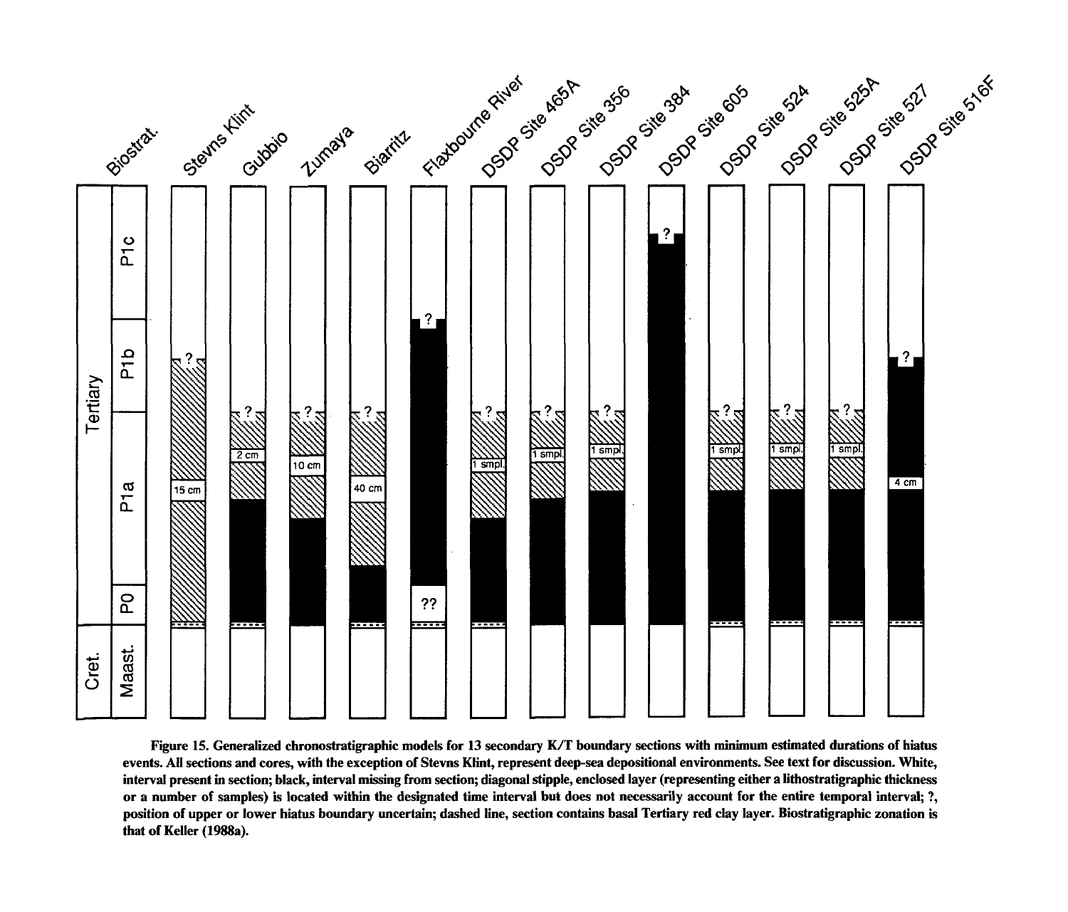

**Figure 15. Generalized chronostratigraphic models for 13 secondary K/T boundary sections with minimum estimated durations of hiatus events. All sections and cores, with the exception of Stevns Klint, represent deep-sea depositional environments. See text for discussion. White, interval present in section; black, interval missing from section; diagonal stipple, enclosed layer (representing either a lithostratigraphic thickness or a number of samples) is located within the designated time interval but does not necessarily account for the entire temporal interval; ?, position of upper or lower hiatus boundary uncertain; dashed line, section contains basal Tertiary red clay layer. Biostratigraphic zonation is that of Keller (1988a).**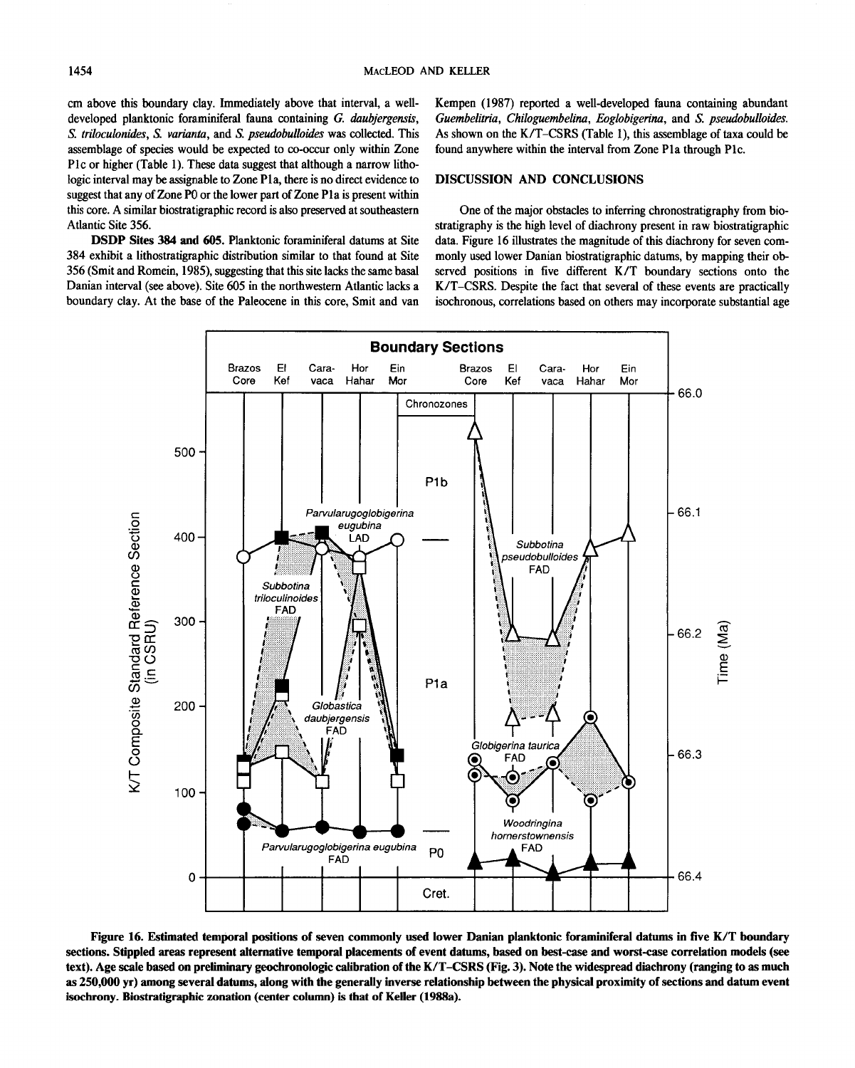cm above this boundary clay. Immediately above that interval, a welldeveloped planktonic foraminiferal fauna containing *G. daubjergensis, S. triloculonides, S. varianta,* and *S. pseudobulloides* was collected. This assemblage of species would be expected to co-occur only within Zone Pic or higher (Table 1). These data suggest that although a narrow lithologic interval may be assignable to Zone P1a, there is no direct evidence to suggest that any of Zone P0 or the lower part of Zone P1a is present within this core. A similar biostratigraphic record is also preserved at southeastern Atlantic Site 356.

**DSDP Sites 384 and 605.** Planktonic foraminiferal datums at Site 384 exhibit a lithostratigraphic distribution similar to that found at Site 356 (Smit and Romein, 1985), suggesting that this site lacks the same basal Danian interval (see above). Site 605 in the northwestern Atlantic lacks a boundary clay. At the base of the Paleocene in this core, Smit and van

Kempen (1987) reported a well-developed fauna containing abundant *Guembelitria, Chiloguembelina, Eoglobigerina,* and *S. pseudobulloides.*  As shown on the K/T-CSRS (Table 1), this assemblage of taxa could be found anywhere within the interval from Zone Pla through Pic.

# **DISCUSSION AND CONCLUSIONS**

One of the major obstacles to inferring chronostratigraphy from biostratigraphy is the high level of diachrony present in raw biostratigraphic data. Figure 16 illustrates the magnitude of this diachrony for seven commonly used lower Danian biostratigraphic datums, by mapping their observed positions in five different K/T boundary sections onto the K/T-CSRS. Despite the fact that several of these events are practically isochronous, correlations based on others may incorporate substantial age



**Figure 16. Estimated temporal positions of seven commonly used lower Danian planktonic foraminiferal datums in five K/T boundary sections. Stippled areas represent alternative temporal placements of event datums, based on best-case and worst-case correlation models (see text). Age scale based on preliminary geochronologic calibration of the K/T-CSRS (Fig. 3). Note the widespread diachrony (ranging to as much as 250,000 yr) among several datums, along with the generally inverse relationship between the physical proximity of sections and datum event isochrony. Biostratigraphic zonation (center column) is that of Keller (1988a).**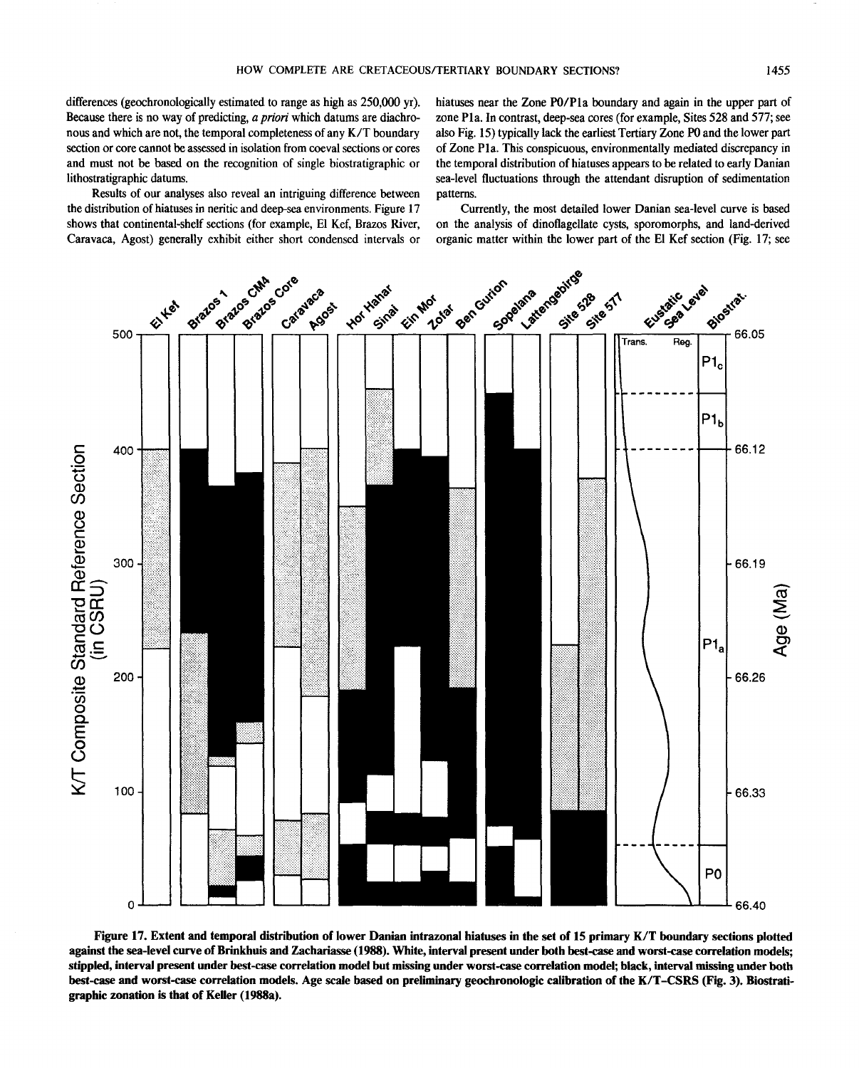differences (geochronologically estimated to range as high as 250,000 yr). Because there is no way of predicting, *a priori* which datums are diachronous and which are not, the temporal completeness of any K/T boundary section or core cannot be assessed in isolation from coeval sections or cores and must not be based on the recognition of single biostratigraphic or lithostratigraphic datums.

Results of our analyses also reveal an intriguing difference between the distribution of hiatuses in neritic and deep-sea environments. Figure 17 shows that continental-shelf sections (for example, El Kef, Brazos River, Caravaca, Agost) generally exhibit either short condensed intervals or hiatuses near the Zone PO/Pla boundary and again in the upper part of zone Pla. In contrast, deep-sea cores (for example, Sites 528 and 577; see also Fig. 15) typically lack the earliest Tertiary Zone P0 and the lower part of Zone Pla. This conspicuous, environmentally mediated discrepancy in the temporal distribution of hiatuses appears to be related to early Danian sea-level fluctuations through the attendant disruption of sedimentation patterns.

Currently, the most detailed lower Danian sea-level curve is based on the analysis of dinoflagellate cysts, sporomorphs, and land-derived organic matter within the lower part of the El Kef section (Fig. 17; see



**Figure 17. Extent and temporal distribution of lower Danian intrazonal hiatuses in the set of 15 primary K/T boundary sections plotted against the sea-level curve of Brinkhuis and Zachariasse (1988). White, interval present under both best-case and worst-case correlation models; stippled, interval present under best-case correlation model but missing under worst-case correlation model; black, interval missing under both best-case and worst-case correlation models. Age scale based on preliminary geochronologic calibration of the K/T-CSRS (Fig. 3). Biostratigraphic zonation is that of Keller (1988a).**